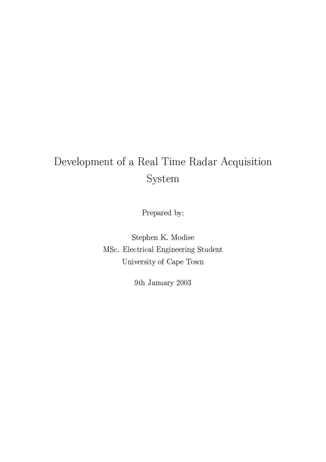# Development of a Real Time Radar Acquisition System

Prepared by:

Stephen K. Modise MSc. Electrical Engineering Student University of Cape Town

9th January 2003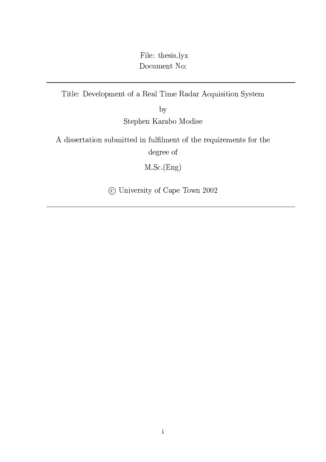File: thesis.lyx Document No:

Title: Development of a Real Time Radar Acquisition System

 $by$ 

Stephen Karabo Modise

A dissertation submitted in fulfilment of the requirements for the degree of

 $M.Sc.(Eng)$ 

© University of Cape Town 2002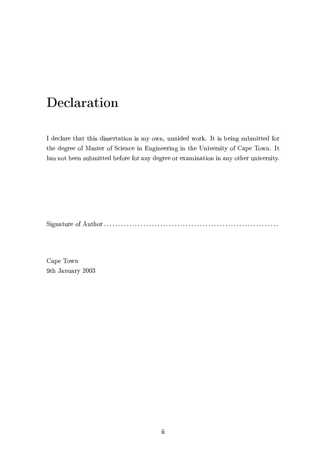# Declaration

I declare that this dissertation is my own, unaided work. It is being submitted for the degree of Master of Science in Engineering in the University of Cape Town. It has not been submitted before for any degree or examination in any other university.

Cape Town 9th January 2003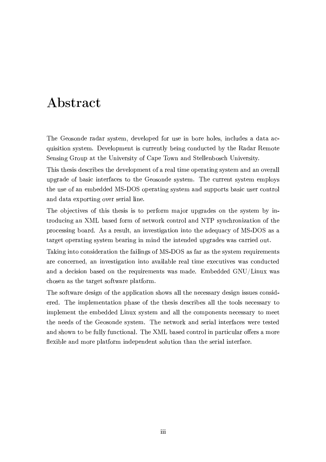# Abstract

The Geosonde radar system, developed for use in bore holes, includes a data acquisition system. Development is currently being conducted by the Radar Remote Sensing Group at the University of Cape Town and Stellenbosch University.

This thesis describes the development of a real time operating system and an overall upgrade of basic interfaces to the Geosonde system. The current system employs the use of an embedded MS-DOS operating system and supports basic user control and data exporting over serial line.

The objectives of this thesis is to perform major upgrades on the system by introducing an XML based form of network control and NTP synchronization of the processing board. As a result, an investigation into the adequacy of MS-DOS as a target operating system bearing in mind the intended upgrades was carried out.

Taking into consideration the failings of MS-DOS as far as the system requirements are concerned, an investigation into available real time executives was conducted and a decision based on the requirements was made. Embedded GNU/Linux was chosen as the target software platform.

The software design of the application shows all the necessary design issues considerered. The implementation phase of the thesis describes all the tools necessary to implement the embedded Linux system and all the components necessary to meet the needs of the Geosonde system. The network and serial interfaces were tested and shown to be fully functional. The XML based control in particular offers a more flexible and more platform independent solution than the serial interface.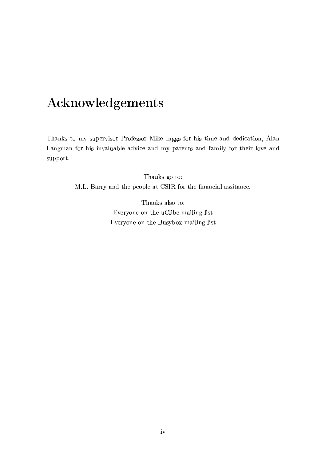# Acknowledgements

Thanks to my supervisor Professor Mike Inggs for his time and dedication, Alan Langman for his invaluable advice and my parents and family for their love and support.

> Thanks go to: M.L. Barry and the people at CSIR for the financial assitance.

> > Thanks also to: Everyone on the uClibc mailing list Everyone on the Busybox mailing list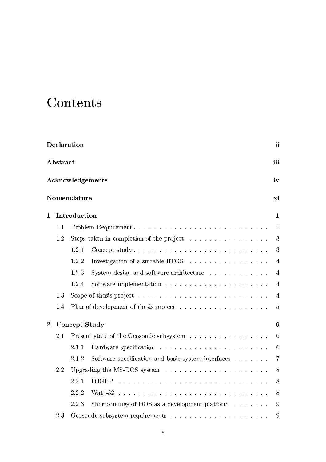# Contents

|                |          | Declaration   |                                                                       | ii              |
|----------------|----------|---------------|-----------------------------------------------------------------------|-----------------|
|                | Abstract |               |                                                                       | iii             |
|                |          |               | Acknowledgements                                                      | iv              |
|                |          | Nomenclature  |                                                                       | xi              |
| $\mathbf{1}$   |          | Introduction  |                                                                       | $\mathbf{1}$    |
|                | 1.1      |               |                                                                       | 1               |
|                | 1.2      |               | Steps taken in completion of the project                              | 3               |
|                |          | 1.2.1         |                                                                       | 3               |
|                |          | 1.2.2         | Investigation of a suitable RTOS $\ldots \ldots \ldots \ldots \ldots$ | $\overline{4}$  |
|                |          | 1.2.3         | System design and software architecture                               | $\overline{4}$  |
|                |          | 1.2.4         |                                                                       | $\overline{4}$  |
|                | 1.3      |               |                                                                       | $\overline{4}$  |
|                | 1.4      |               |                                                                       | $\overline{5}$  |
| $\overline{2}$ |          | Concept Study |                                                                       | $6\phantom{1}6$ |
|                | 2.1      |               | Present state of the Geosonde subsystem                               | $6\phantom{.}6$ |
|                |          | 2.1.1         |                                                                       | $6\phantom{.}6$ |
|                |          | 2.1.2         | Software specification and basic system interfaces                    | $\overline{7}$  |
|                | 2.2      |               |                                                                       | 8               |
|                |          | 2.2.1         | <b>DJGPP</b>                                                          | 8               |
|                |          | 2.2.2         | Watt-32                                                               | 8               |
|                |          | 2.2.3         | Shortcomings of DOS as a development platform $\dots \dots$           | 9               |
|                | 2.3      |               |                                                                       | 9               |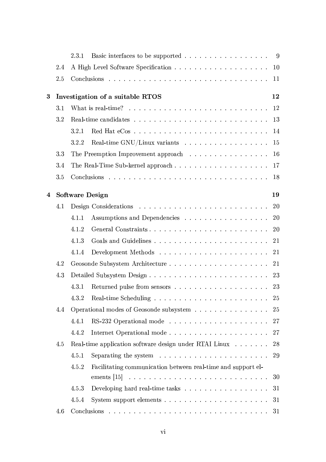|   |     | 2.3.1                  | Basic interfaces to be supported 9                                                                                                            |  |
|---|-----|------------------------|-----------------------------------------------------------------------------------------------------------------------------------------------|--|
|   | 2.4 |                        | 10                                                                                                                                            |  |
|   | 2.5 |                        | 11                                                                                                                                            |  |
| 3 |     |                        | Investigation of a suitable RTOS<br>12                                                                                                        |  |
|   | 3.1 |                        | What is real-time? $\ldots \ldots \ldots \ldots \ldots \ldots \ldots \ldots \ldots$<br>12                                                     |  |
|   | 3.2 |                        | 13                                                                                                                                            |  |
|   |     | 3.2.1                  | 14                                                                                                                                            |  |
|   |     | 3.2.2                  | 15                                                                                                                                            |  |
|   | 3.3 |                        | The Preemption Improvement approach<br>16                                                                                                     |  |
|   | 3.4 |                        | The Real-Time Sub-kernel approach<br>17                                                                                                       |  |
|   | 3.5 |                        | 18                                                                                                                                            |  |
| 4 |     | <b>Software Design</b> | 19                                                                                                                                            |  |
|   | 4.1 |                        | 20                                                                                                                                            |  |
|   |     | 4.1.1                  | Assumptions and Dependencies<br><b>20</b>                                                                                                     |  |
|   |     | 4.1.2                  | 20                                                                                                                                            |  |
|   |     | 4.1.3                  | 21                                                                                                                                            |  |
|   |     | 4.1.4                  | 21                                                                                                                                            |  |
|   | 4.2 |                        | 21                                                                                                                                            |  |
|   | 4.3 |                        | 23                                                                                                                                            |  |
|   |     | 4.3.1                  | 23                                                                                                                                            |  |
|   |     |                        |                                                                                                                                               |  |
|   | 4.4 |                        | Operational modes of Geosonde subsystem<br>25                                                                                                 |  |
|   |     | 4.4.1                  | 27                                                                                                                                            |  |
|   |     | 4.4.2                  | 27                                                                                                                                            |  |
|   | 4.5 |                        | 28<br>Real-time application software design under RTAI Linux                                                                                  |  |
|   |     | 4.5.1                  | Separating the system resources in the set of the system resources in the set of the system resources in the set of the system $\alpha$<br>29 |  |
|   |     | 4.5.2                  | Facilitating communication between real-time and support el-                                                                                  |  |
|   |     |                        | 30                                                                                                                                            |  |
|   |     | 4.5.3                  | 31                                                                                                                                            |  |
|   |     | 4.5.4                  | 31                                                                                                                                            |  |
|   | 4.6 |                        |                                                                                                                                               |  |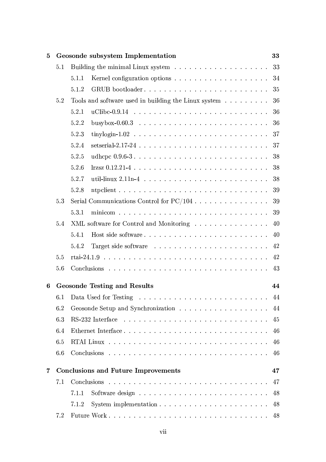| 5 |     | Geosonde subsystem Implementation                                                                                    | 33 |
|---|-----|----------------------------------------------------------------------------------------------------------------------|----|
|   | 5.1 |                                                                                                                      | 33 |
|   |     | 5.1.1                                                                                                                | 34 |
|   |     | GRUB bootloader<br>5.1.2                                                                                             | 35 |
|   | 5.2 | Tools and software used in building the Linux system                                                                 | 36 |
|   |     | 5.2.1                                                                                                                | 36 |
|   |     | busybox-0.60.3 $\ldots \ldots \ldots \ldots \ldots \ldots \ldots \ldots \ldots$<br>5.2.2                             | 36 |
|   |     | 5.2.3                                                                                                                | 37 |
|   |     | setserial-2.17-24 $\ldots$ $\ldots$ $\ldots$ $\ldots$ $\ldots$ $\ldots$ $\ldots$ $\ldots$ $\ldots$ $\ldots$<br>5.2.4 | 37 |
|   |     | 5.2.5                                                                                                                | 38 |
|   |     | 5.2.6                                                                                                                | 38 |
|   |     | 5.2.7                                                                                                                | 38 |
|   |     | 5.2.8                                                                                                                | 39 |
|   | 5.3 |                                                                                                                      | 39 |
|   |     | 5.3.1                                                                                                                | 39 |
|   | 5.4 | XML software for Control and Monitoring                                                                              | 40 |
|   |     | 5.4.1                                                                                                                | 40 |
|   |     | 5.4.2                                                                                                                | 42 |
|   | 5.5 |                                                                                                                      | 42 |
|   | 5.6 |                                                                                                                      | 43 |
| 6 |     | <b>Geosonde Testing and Results</b>                                                                                  | 44 |
|   |     |                                                                                                                      | 44 |
|   | 6.2 |                                                                                                                      | 44 |
|   | 6.3 |                                                                                                                      | 45 |
|   | 6.4 | Ethernet Interface                                                                                                   | 46 |
|   | 6.5 |                                                                                                                      | 46 |
|   | 6.6 |                                                                                                                      | 46 |
| 7 |     | <b>Conclusions and Future Improvements</b>                                                                           | 47 |
|   | 7.1 |                                                                                                                      | 47 |
|   |     | 7.1.1                                                                                                                | 48 |
|   |     | 7.1.2                                                                                                                | 48 |
|   | 7.2 |                                                                                                                      | 48 |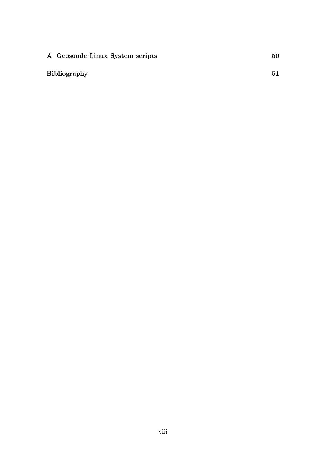| A Geosonde Linux System scripts |  |
|---------------------------------|--|
|                                 |  |

## **Bibliography**

 $51$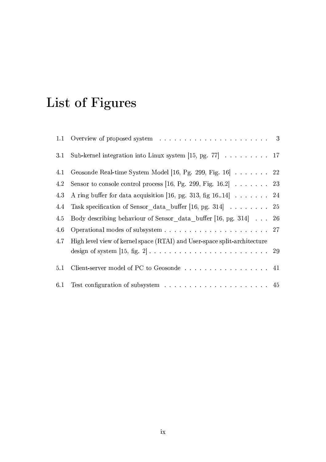# List of Figures

| 3.1 | Sub-kernel integration into Linux system [15, pg. 77] $\ldots \ldots \ldots 17$                   |  |
|-----|---------------------------------------------------------------------------------------------------|--|
| 4.1 | Geosonde Real-time System Model [16, Pg. 299, Fig. 16] 22                                         |  |
| 4.2 | Sensor to console control process [16, Pg. 299, Fig. 16.2] $\ldots \ldots$ 23                     |  |
| 4.3 | A ring buffer for data acquisition [16, pg. 313, fig 16.14] $\ldots$ 24                           |  |
| 4.4 | Task specification of Sensor data buffer [16, pg. 314] 25                                         |  |
| 4.5 | Body describing behaviour of Sensor _data_buffer [16, pg. 314] 26                                 |  |
| 4.6 |                                                                                                   |  |
| 4.7 | High level view of kernel space (RTAI) and User-space split-architecture                          |  |
|     | design of system $[15, fig. 2] \ldots \ldots \ldots \ldots \ldots \ldots \ldots \ldots \ldots 29$ |  |
| 5.1 | Client-server model of PC to Geosonde 41                                                          |  |
| 6.1 |                                                                                                   |  |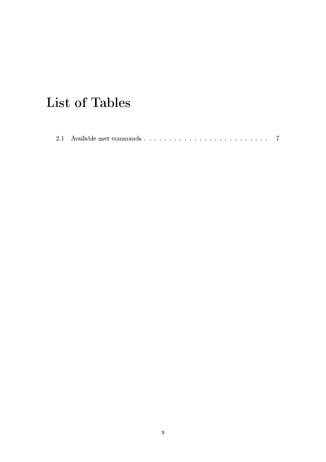# List of Tables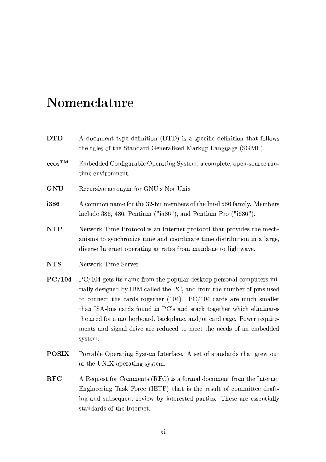# Nomenclature

| <b>DTD</b>                               | A document type definition (DTD) is a specific definition that follows<br>the rules of the Standard Generalized Markup Language (SGML).                                                                                                                                                                                                                                                                                                                        |
|------------------------------------------|----------------------------------------------------------------------------------------------------------------------------------------------------------------------------------------------------------------------------------------------------------------------------------------------------------------------------------------------------------------------------------------------------------------------------------------------------------------|
| $\mbox{ecos}^{\mbox{\scriptsize\sc TM}}$ | Embedded Configurable Operating System, a complete, open-source run-<br>time environment.                                                                                                                                                                                                                                                                                                                                                                      |
| <b>GNU</b>                               | Recursive acronym for GNU's Not Unix                                                                                                                                                                                                                                                                                                                                                                                                                           |
| i386                                     | A common name for the 32-bit members of the Intel x86 family. Members<br>include 386, 486, Pentium (" $1586$ "), and Pentium Pro (" $1686$ ").                                                                                                                                                                                                                                                                                                                 |
| <b>NTP</b>                               | Network Time Protocol is an Internet protocol that provides the mech-<br>anisms to synchronize time and coordinate time distribution in a large,<br>diverse Internet operating at rates from mundane to lightwave.                                                                                                                                                                                                                                             |
| <b>NTS</b>                               | Network Time Server                                                                                                                                                                                                                                                                                                                                                                                                                                            |
| PC/104                                   | $PC/104$ gets its name from the popular desktop personal computers ini-<br>tially designed by IBM called the PC, and from the number of pins used<br>to connect the cards together (104). $PC/104$ cards are much smaller<br>than ISA-bus cards found in PC's and stack together which eliminates<br>the need for a motherboard, backplane, and/or card cage. Power require-<br>ments and signal drive are reduced to meet the needs of an embedded<br>system. |
| <b>POSIX</b>                             | Portable Operating System Interface. A set of standards that grew out<br>of the UNIX operating system.                                                                                                                                                                                                                                                                                                                                                         |

**RFC** A Request for Comments (RFC) is a formal document from the Internet Engineering Task Force (IETF) that is the result of committee drafting and subsequent review by interested parties. These are essentially standards of the Internet.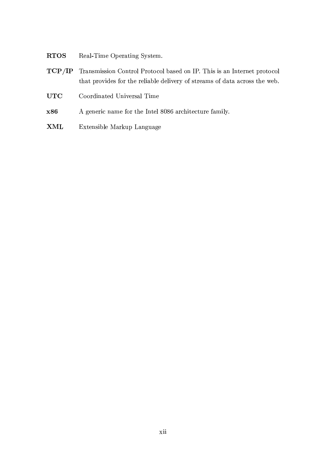- Real-Time Operating System. **RTOS**
- Transmission Control Protocol based on IP. This is an Internet protocol  $TCP/IP$ that provides for the reliable delivery of streams of data across the web.
- **UTC** Coordinated Universal Time
- x86 A generic name for the Intel 8086 architecture family.
- $\mathbf{XML}$ Extensible Markup Language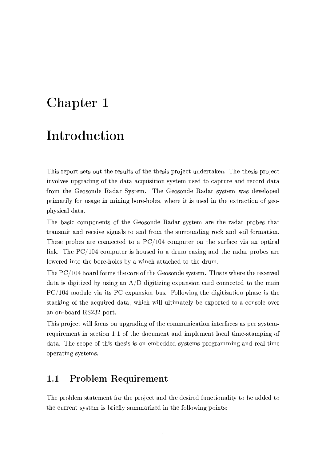# Chapter 1

## Introduction

This report sets out the results of the thesis project undertaken. The thesis project involves upgrading of the data acquisition system used to capture and record data from the Geosonde Radar System. The Geosonde Radar system was developed primarily for usage in mining bore-holes, where it is used in the extraction of geophysical data.

The basic components of the Geosonde Radar system are the radar probes that transmit and receive signals to and from the surrounding rock and soil formation. These probes are connected to a  $PC/104$  computer on the surface via an optical link. The  $PC/104$  computer is housed in a drum casing and the radar probes are lowered into the bore-holes by a winch attached to the drum.

The PC/104 board forms the core of the Geosonde system. This is where the received data is digitized by using an  $A/D$  digitizing expansion card connected to the main  $PC/104$  module via its PC expansion bus. Following the digitization phase is the stacking of the acquired data, which will ultimately be exported to a console over an on-board RS232 port.

This project will focus on upgrading of the communication interfaces as per systemrequirement in section 1.1 of the document and implement local time-stamping of data. The scope of this thesis is on embedded systems programming and real-time operating systems.

### **Problem Requirement**  $1.1$

The problem statement for the project and the desired functionality to be added to the current system is briefly summarized in the following points: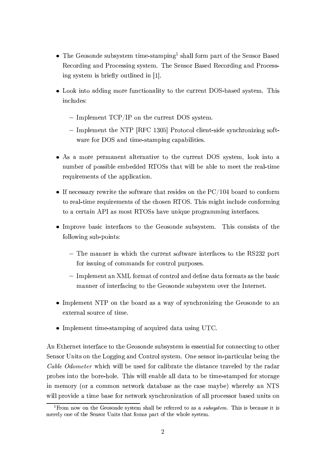- The Geosonde subsystem time-stamping<sup>1</sup> shall form part of the Sensor Based Recording and Processing system. The Sensor Based Recording and Processing system is briefly outlined in [1].
- Look into adding more functionality to the current DOS-based system. This includes:
	- Implement  $TCP/IP$  on the current DOS system.
	- Implement the NTP [RFC 1305] Protocol client-side synchronizing software for DOS and time-stamping capabilities.
- As a more permanent alternative to the current DOS system, look into a number of possible embedded RTOSs that will be able to meet the real-time requirements of the application.
- If necessary rewrite the software that resides on the  $PC/104$  board to conform to real-time requirements of the chosen RTOS. This might include conforming to a certain API as most RTOSs have unique programming interfaces.
- Improve basic interfaces to the Geosonde subsystem. This consists of the following sub-points:
	- The manner in which the current software interfaces to the RS232 port for issuing of commands for control purposes.
	- Implement an XML format of control and define data formats as the basic manner of interfacing to the Geosonde subsystem over the Internet.
- Implement NTP on the board as a way of synchronizing the Geosonde to an external source of time.
- $\bullet$  Implement time-stamping of acquired data using UTC.

An Ethernet interface to the Geosonde subsystem is essential for connecting to other Sensor Units on the Logging and Control system. One sensor in-particular being the *Cable Odometer* which will be used for calibrate the distance traveled by the radar probes into the bore-hole. This will enable all data to be time-stamped for storage in memory (or a common network database as the case maybe) whereby an NTS will provide a time base for network synchronization of all processor based units on

<sup>&</sup>lt;sup>1</sup>From now on the Geosonde system shall be referred to as a *subsystem*. This is because it is merely one of the Sensor Units that forms part of the whole system.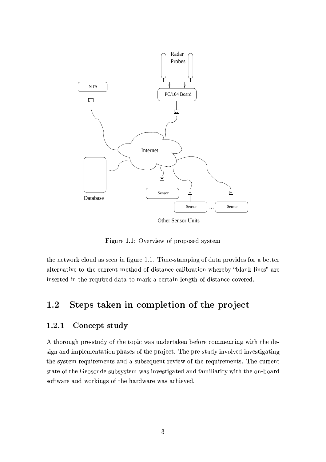

Figure 1.1: Overview of proposed system

the network cloud as seen in figure 1.1. Time-stamping of data provides for a better alternative to the current method of distance calibration whereby "blank lines" are inserted in the required data to mark a certain length of distance covered.

## Steps taken in completion of the project  $1.2$

### $1.2.1$ Concept study

A thorough pre-study of the topic was undertaken before commencing with the design and implementation phases of the project. The pre-study involved investigating the system requirements and a subsequent review of the requirements. The current state of the Geosonde subsystem was investigated and familiarity with the on-board software and workings of the hardware was achieved.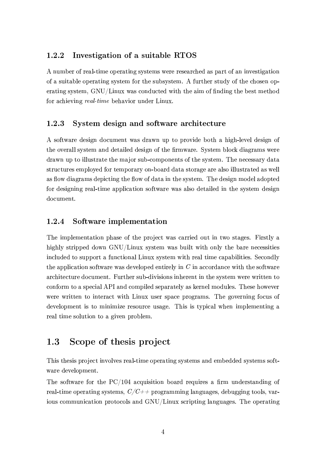### Investigation of a suitable RTOS  $1.2.2$

A number of real-time operating systems were researched as part of an investigation of a suitable operating system for the subsystem. A further study of the chosen operating system, GNU/Linux was conducted with the aim of finding the best method for achieving real-time behavior under Linux.

### $1.2.3$ System design and software architecture

A software design document was drawn up to provide both a high-level design of the overall system and detailed design of the firmware. System block diagrams were drawn up to illustrate the major sub-components of the system. The necessary data structures employed for temporary on-board data storage are also illustrated as well as flow diagrams depicting the flow of data in the system. The design model adopted for designing real-time application software was also detailed in the system design document.

#### Software implementation 1.2.4

The implementation phase of the project was carried out in two stages. Firstly a highly stripped down GNU/Linux system was built with only the bare necessities included to support a functional Linux system with real time capabilities. Secondly the application software was developed entirely in  $C$  in accordance with the software architecture document. Further sub-divisions inherent in the system were written to conform to a special API and compiled separately as kernel modules. These however were written to interact with Linux user space programs. The governing focus of development is to minimize resource usage. This is typical when implementing a real time solution to a given problem.

### Scope of thesis project  $1.3$

This thesis project involves real-time operating systems and embedded systems software development.

The software for the  $PC/104$  acquisition board requires a firm understanding of real-time operating systems,  $C/C++$  programming languages, debugging tools, various communication protocols and GNU/Linux scripting languages. The operating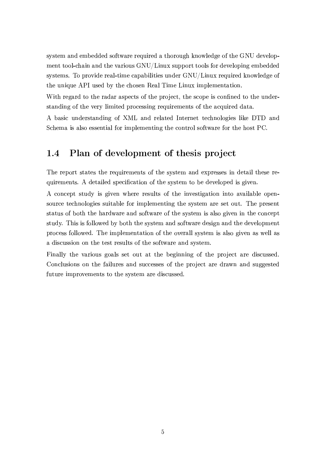system and embedded software required a thorough knowledge of the GNU development tool-chain and the various GNU/Linux support tools for developing embedded systems. To provide real-time capabilities under GNU/Linux required knowledge of the unique API used by the chosen Real Time Linux implementation.

With regard to the radar aspects of the project, the scope is confined to the understanding of the very limited processing requirements of the acquired data.

A basic understanding of XML and related Internet technologies like DTD and Schema is also essential for implementing the control software for the host PC.

### Plan of development of thesis project  $1.4$

The report states the requirements of the system and expresses in detail these requirements. A detailed specification of the system to be developed is given.

A concept study is given where results of the investigation into available opensource technologies suitable for implementing the system are set out. The present status of both the hardware and software of the system is also given in the concept study. This is followed by both the system and software design and the development process followed. The implementation of the overall system is also given as well as a discussion on the test results of the software and system.

Finally the various goals set out at the beginning of the project are discussed. Conclusions on the failures and successes of the project are drawn and suggested future improvements to the system are discussed.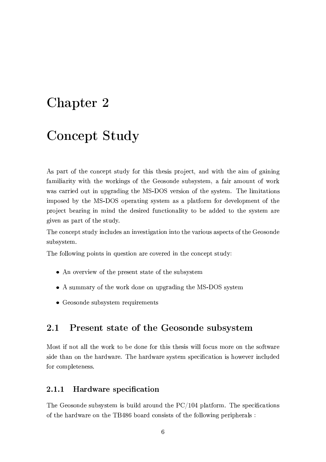# Chapter 2

# Concept Study

As part of the concept study for this thesis project, and with the aim of gaining familiarity with the workings of the Geosonde subsystem, a fair amount of work was carried out in upgrading the MS-DOS version of the system. The limitations imposed by the MS-DOS operating system as a platform for development of the project bearing in mind the desired functionality to be added to the system are given as part of the study.

The concept study includes an investigation into the various aspects of the Geosonde subsystem.

The following points in question are covered in the concept study:

- An overview of the present state of the subsystem
- A summary of the work done on upgrading the MS-DOS system
- Geosonde subsystem requirements

### 2.1 Present state of the Geosonde subsystem

Most if not all the work to be done for this thesis will focus more on the software side than on the hardware. The hardware system specification is however included for completeness.

#### **Hardware** specification  $2.1.1$

The Geosonde subsystem is build around the  $PC/104$  platform. The specifications of the hardware on the TB486 board consists of the following peripherals: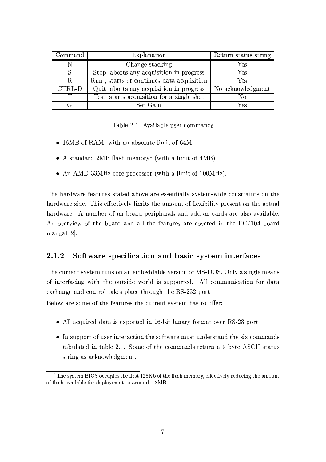| Command | Explanation                                | Return status string |
|---------|--------------------------------------------|----------------------|
|         | Change stacking                            | Yes                  |
|         | Stop, aborts any acquisition in progress   | Yes                  |
| R       | Run, starts or continues data acquisition  | Yes                  |
| CTRL-D  | Quit, aborts any acquisition in progress   | No acknowledgment    |
| ጥ       | Test, starts acquisition for a single shot | Nο                   |
|         | Set Gain                                   | Yes                  |

Table 2.1: Available user commands

- 16MB of RAM, with an absolute limit of 64M
- A standard 2MB flash memory<sup>1</sup> (with a limit of  $4MB$ )
- An AMD 33MHz core processor (with a limit of  $100MHz$ ).

The hardware features stated above are essentially system-wide constraints on the hardware side. This effectively limits the amount of flexibility present on the actual hardware. A number of on-board peripherals and add-on cards are also available. An overview of the board and all the features are covered in the PC/104 board manual  $[2]$ .

#### $2.1.2$ Software specification and basic system interfaces

The current system runs on an embeddable version of MS-DOS. Only a single means of interfacing with the outside world is supported. All communication for data exchange and control takes place through the RS-232 port.

Below are some of the features the current system has to offer:

- All acquired data is exported in 16-bit binary format over RS-23 port.
- In support of user interaction the software must understand the six commands tabulated in table 2.1. Some of the commands return a 9 byte ASCII status string as acknowledgment.

<sup>&</sup>lt;sup>1</sup>The system BIOS occupies the first 128Kb of the flash memory, effectively reducing the amount of flash available for deployment to around 1.8MB.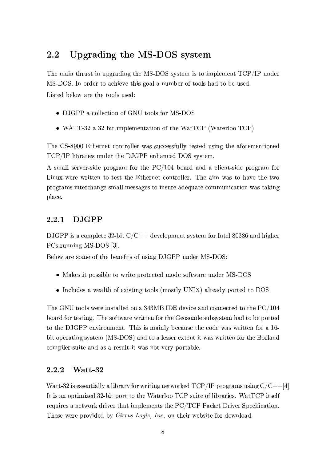### **Upgrading the MS-DOS system** 2.2

The main thrust in upgrading the MS-DOS system is to implement TCP/IP under MS-DOS. In order to achieve this goal a number of tools had to be used. Listed below are the tools used:

• DJGPP a collection of GNU tools for MS-DOS

• WATT-32 a 32 bit implementation of the WatTCP (Waterloo TCP)

The CS-8900 Ethernet controller was successfully tested using the aforementioned TCP/IP libraries under the DJGPP enhanced DOS system.

A small server-side program for the PC/104 board and a client-side program for Linux were written to test the Ethernet controller. The aim was to have the two programs interchange small messages to insure adequate communication was taking place.

### **DJGPP**  $2.2.1$

DJGPP is a complete 32-bit  $C/C++$  development system for Intel 80386 and higher PCs running MS-DOS [3].

Below are some of the benefits of using DJGPP under MS-DOS:

- Makes it possible to write protected mode software under MS-DOS
- Includes a wealth of existing tools (mostly UNIX) already ported to DOS

The GNU tools were installed on a 343MB IDE device and connected to the  $PC/104$ board for testing. The software written for the Geosonde subsystem had to be ported to the DJGPP environment. This is mainly because the code was written for a 16bit operating system (MS-DOS) and to a lesser extent it was written for the Borland compiler suite and as a result it was not very portable.

#### $2.2.2$ Watt-32

Watt-32 is essentially a library for writing networked TCP/IP programs using  $C/C++[4]$ . It is an optimized 32-bit port to the Waterloo TCP suite of libraries. WatTCP itself requires a network driver that implements the PC/TCP Packet Driver Specification. These were provided by *Cirrus Logic*, *Inc.* on their website for download.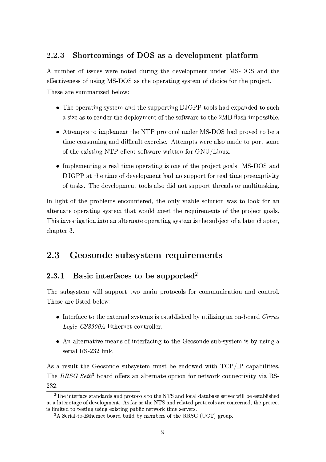### 2.2.3 Shortcomings of DOS as a development platform

A number of issues were noted during the development under MS-DOS and the effectiveness of using MS-DOS as the operating system of choice for the project. These are summarized below:

- The operating system and the supporting DJGPP tools had expanded to such a size as to render the deployment of the software to the 2MB flash impossible.
- Attempts to implement the NTP protocol under MS-DOS had proved to be a time consuming and difficult exercise. Attempts were also made to port some of the existing NTP client software written for GNU/Linux.
- Implementing a real time operating is one of the project goals. MS-DOS and DJGPP at the time of development had no support for real time preemptivity of tasks. The development tools also did not support threads or multitasking.

In light of the problems encountered, the only viable solution was to look for an alternate operating system that would meet the requirements of the project goals. This investigation into an alternate operating system is the subject of a later chapter, chapter 3.

### Geosonde subsystem requirements 2.3

### Basic interfaces to be supported<sup>2</sup> 2.3.1

The subsystem will support two main protocols for communication and control. These are listed below:

- Interface to the external systems is established by utilizing an on-board Cirrus Logic CS8900A Ethernet controller.
- An alternative means of interfacing to the Geosonde sub-system is by using a serial RS-232 link.

As a result the Geosonde subsystem must be endowed with TCP/IP capabilities. The RRSG Seth<sup>3</sup> board offers an alternate option for network connectivity via RS-232.

 $2^2$ The interface standards and protocols to the NTS and local database server will be established at a later stage of development. As far as the NTS and related protocols are concerned, the project is limited to testing using existing public network time servers.

<sup>&</sup>lt;sup>3</sup>A Serial-to-Ethernet board build by members of the RRSG (UCT) group.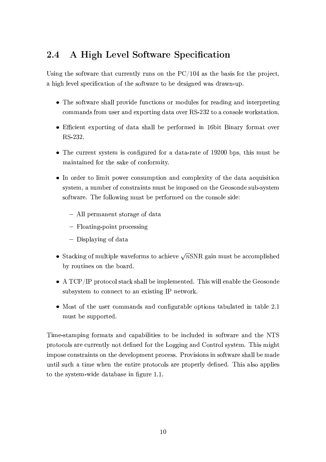## A High Level Software Specification 2.4

Using the software that currently runs on the  $PC/104$  as the basis for the project, a high level specification of the software to be designed was drawn-up.

- The software shall provide functions or modules for reading and interpreting commands from user and exporting data over RS-232 to a console workstation.
- Efficient exporting of data shall be performed in 16 bit Binary format over RS-232.
- The current system is configured for a data-rate of 19200 bps, this must be maintained for the sake of conformity.
- In order to limit power consumption and complexity of the data acquisition system, a number of constraints must be imposed on the Geosonde sub-system software. The following must be performed on the console side:
	- All permanent storage of data
	- $-$  Floating-point processing
	- Displaying of data
- Stacking of multiple waveforms to achieve  $\sqrt{n}$ SNR gain must be accomplished by routines on the board.
- $\bullet$  A TCP/IP protocol stack shall be implemented. This will enable the Geosonde subsystem to connect to an existing IP network.
- Most of the user commands and configurable options tabulated in table 2.1 must be supported.

Time-stamping formats and capabilities to be included in software and the NTS protocols are currently not defined for the Logging and Control system. This might impose constraints on the development process. Provisions in software shall be made until such a time when the entire protocols are properly defined. This also applies to the system-wide database in figure 1.1.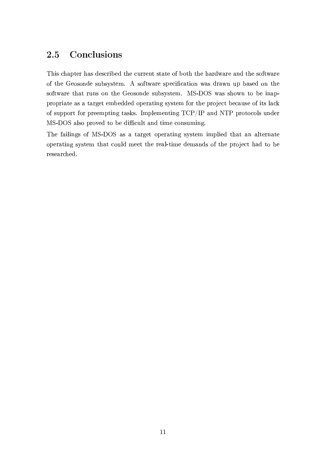## 2.5 Conclusions

This chapter has described the current state of both the hardware and the software of the Geosonde subsystem. A software specification was drawn up based on the software that runs on the Geosonde subsystem. MS-DOS was shown to be inappropriate as a target embedded operating system for the project because of its lack of support for preempting tasks. Implementing TCP/IP and NTP protocols under MS-DOS also proved to be difficult and time consuming.

The failings of MS-DOS as a target operating system implied that an alternate operating system that could meet the real-time demands of the project had to be researched.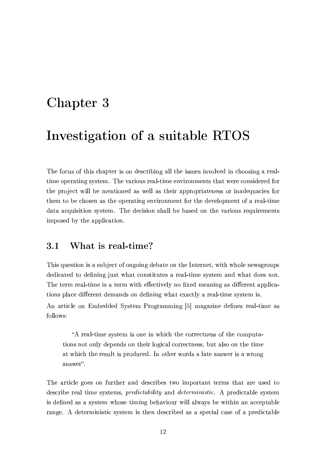# Chapter 3

## Investigation of a suitable RTOS

The focus of this chapter is on describing all the issues involved in choosing a realtime operating system. The various real-time environments that were considered for the project will be mentioned as well as their appropriateness or inadequacies for them to be chosen as the operating environment for the development of a real-time data acquisition system. The decision shall be based on the various requirements imposed by the application.

### What is real-time?  $3.1$

This question is a subject of ongoing debate on the Internet, with whole newsgroups dedicated to defining just what constitutes a real-time system and what does not. The term real-time is a term with effectively no fixed meaning as different applications place different demands on defining what exactly a real-time system is.

An article on Embedded System Programming [5] magazine defines real-time as follows:

"A real-time system is one in which the correctness of the computations not only depends on their logical correctness, but also on the time at which the result is produced. In other words a late answer is a wrong answer".

The article goes on further and describes two important terms that are used to describe real time systems, *predictability* and *deterministic*. A predictable system is defined as a system whose timing behaviour will always be within an acceptable range. A deterministic system is then described as a special case of a predictable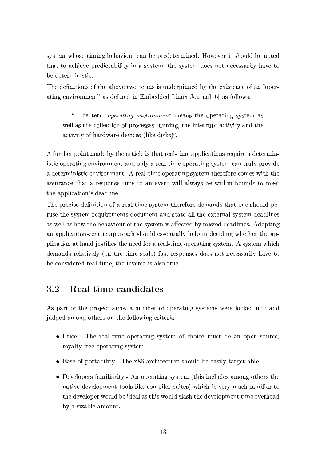system whose timing behaviour can be predetermined. However it should be noted that to achieve predictability in a system, the system does not necessarily have to be deterministic.

The definitions of the above two terms is underpinned by the existence of an "operating environment" as defined in Embedded Linux Journal [6] as follows:

" The term *operating environment* means the operating system as well as the collection of processes running, the interrupt activity and the activity of hardware devices (like disks)".

A further point made by the article is that real-time applications require a deterministic operating environment and only a real-time operating system can truly provide a deterministic environment. A real-time operating system therefore comes with the assurance that a response time to an event will always be within bounds to meet the application's deadline.

The precise definition of a real-time system therefore demands that one should peruse the system requirements document and state all the external system deadlines as well as how the behaviour of the system is affected by missed deadlines. Adopting an application-centric approach should essentially help in deciding whether the application at hand justifies the need for a real-time operating system. A system which demands relatively (on the time scale) fast responses does not necessarily have to be considered real-time, the inverse is also true.

### Real-time candidates 3.2

As part of the project aims, a number of operating systems were looked into and judged among others on the following criteria:

- Price The real-time operating system of choice must be an open source, royalty-free operating system.
- Ease of portability The x86 architecture should be easily target-able
- Developers familiarity An operating system (this includes among others the native development tools like compiler suites) which is very much familiar to the developer would be ideal as this would slash the development time overhead by a sizable amount.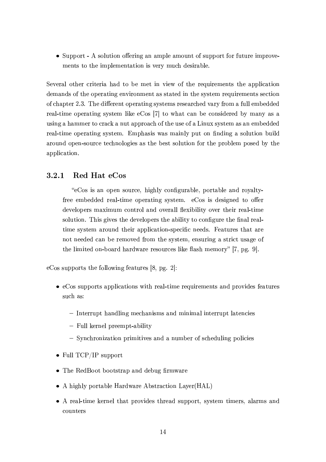• Support - A solution offering an ample amount of support for future improvements to the implementation is very much desirable.

Several other criteria had to be met in view of the requirements the application demands of the operating environment as stated in the system requirements section of chapter 2.3. The different operating systems researched vary from a full embedded real-time operating system like eCos [7] to what can be considered by many as a using a hammer to crack a nut approach of the use of a Linux system as an embedded real-time operating system. Emphasis was mainly put on finding a solution build around open-source technologies as the best solution for the problem posed by the application.

#### Red Hat eCos  $3.2.1$

"eCos is an open source, highly configurable, portable and royaltyfree embedded real-time operating system. eCos is designed to offer developers maximum control and overall flexibility over their real-time solution. This gives the developers the ability to configure the final realtime system around their application-specific needs. Features that are not needed can be removed from the system, ensuring a strict usage of the limited on-board hardware resources like flash memory" [7, pg. 9].

eCos supports the following features [8, pg. 2]:

- $\bullet$  eCos supports applications with real-time requirements and provides features such as:
	- Interrupt handling mechanisms and minimal interrupt latencies
	- Full kernel preempt-ability
	- Synchronization primitives and a number of scheduling policies
- Full  $TCP/IP support$
- The RedBoot bootstrap and debug firmware
- A highly portable Hardware Abstraction Layer (HAL)
- A real-time kernel that provides thread support, system timers, alarms and counters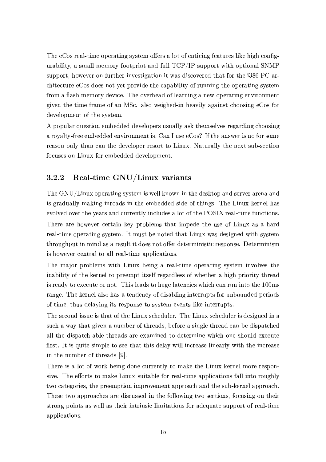The eCos real-time operating system offers a lot of enticing features like high configurability, a small memory footprint and full TCP/IP support with optional SNMP support, however on further investigation it was discovered that for the i386 PC architecture eCos does not yet provide the capability of running the operating system from a flash memory device. The overhead of learning a new operating environment given the time frame of an MSc. also weighed-in heavily against choosing eCos for development of the system.

A popular question embedded developers usually ask themselves regarding choosing a royalty-free embedded environment is, Can I use eCos? If the answer is no for some reason only than can the developer resort to Linux. Naturally the next sub-section focuses on Linux for embedded development.

### $3.2.2$ Real-time GNU/Linux variants

The GNU/Linux operating system is well known in the desktop and server arena and is gradually making inroads in the embedded side of things. The Linux kernel has evolved over the years and currently includes a lot of the POSIX real-time functions. There are however certain key problems that impede the use of Linux as a hard real-time operating system. It must be noted that Linux was designed with system throughput in mind as a result it does not offer deterministic response. Determinism is however central to all real-time applications.

The major problems with Linux being a real-time operating system involves the inability of the kernel to preempt itself regardless of whether a high priority thread is ready to execute or not. This leads to huge latencies which can run into the 100ms range. The kernel also has a tendency of disabling interrupts for unbounded periods of time, thus delaying its response to system events like interrupts.

The second issue is that of the Linux scheduler. The Linux scheduler is designed in a such a way that given a number of threads, before a single thread can be dispatched all the dispatch-able threads are examined to determine which one should execute first. It is quite simple to see that this delay will increase linearly with the increase in the number of threads [9].

There is a lot of work being done currently to make the Linux kernel more responsive. The efforts to make Linux suitable for real-time applications fall into roughly two categories, the preemption improvement approach and the sub-kernel approach. These two approaches are discussed in the following two sections, focusing on their strong points as well as their intrinsic limitations for adequate support of real-time applications.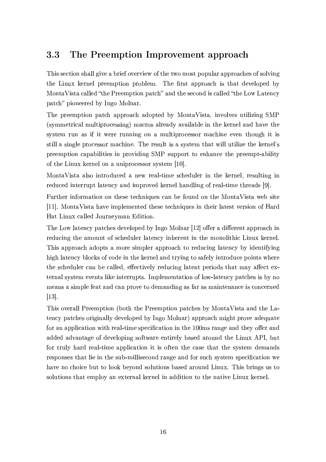### 3.3 The Preemption Improvement approach

This section shall give a brief overview of the two most popular approaches of solving the Linux kernel preemption problem. The first approach is that developed by MontaVista called "the Preemption patch" and the second is called "the Low Latency patch" pioneered by Ingo Molnar.

The preemption patch approach adopted by MontaVista, involves utilizing SMP (symmetrical multiprocessing) macros already available in the kernel and have the system run as if it were running on a multiprocessor machine even though it is still a single processor machine. The result is a system that will utilize the kernel's preemption capabilities in providing SMP support to enhance the preempt-ability of the Linux kernel on a uniprocessor system [10].

MontaVista also introduced a new real-time scheduler in the kernel, resulting in reduced interrupt latency and improved kernel handling of real-time threads [9].

Further information on these techniques can be found on the MontaVista web site [11]. MontaVista have implemented these techniques in their latest version of Hard Hat Linux called Journeyman Edition.

The Low latency patches developed by Ingo Molnar [12] offer a different approach in reducing the amount of scheduler latency inherent in the monolithic Linux kernel. This approach adopts a more simpler approach to reducing latency by identifying high latency blocks of code in the kernel and trying to safely introduce points where the scheduler can be called, effectively reducing latent periods that may affect external system events like interrupts. Implementation of low-latency patches is by no means a simple feat and can prove to demanding as far as maintenance is concerned  $[13]$ 

This overall Preemption (both the Preemption patches by MontaVista and the Latency patches originally developed by Ingo Molnar) approach might prove adequate for an application with real-time specification in the 100ms range and they offer and added advantage of developing software entirely based around the Linux API, but for truly hard real-time application it is often the case that the system demands responses that lie in the sub-millisecond range and for such system specification we have no choice but to look beyond solutions based around Linux. This brings us to solutions that employ an external kernel in addition to the native Linux kernel.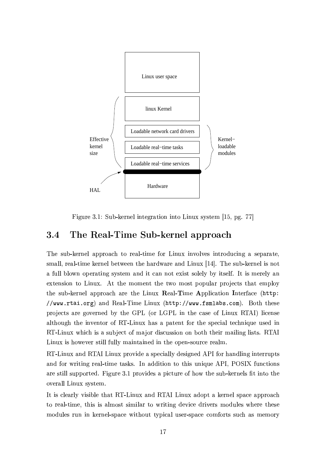

Figure 3.1: Sub-kernel integration into Linux system [15, pg. 77]

### The Real-Time Sub-kernel approach 3.4

The sub-kernel approach to real-time for Linux involves introducing a separate, small, real-time kernel between the hardware and Linux [14]. The sub-kernel is not a full blown operating system and it can not exist solely by itself. It is merely an extension to Linux. At the moment the two most popular projects that employ the sub-kernel approach are the Linux Real-Time Application Interface (http: //www.rtai.org) and Real-Time Linux (http://www.fsmlabs.com). Both these projects are governed by the GPL (or LGPL in the case of Linux RTAI) license although the inventor of RT-Linux has a patent for the special technique used in RT-Linux which is a subject of major discussion on both their mailing lists. RTAI Linux is however still fully maintained in the open-source realm.

RT-Linux and RTAI Linux provide a specially designed API for handling interrupts and for writing real-time tasks. In addition to this unique API, POSIX functions are still supported. Figure 3.1 provides a picture of how the sub-kernels fit into the overall Linux system.

It is clearly visible that RT-Linux and RTAI Linux adopt a kernel space approach to real-time, this is almost similar to writing device drivers modules where these modules run in kernel-space without typical user-space comforts such as memory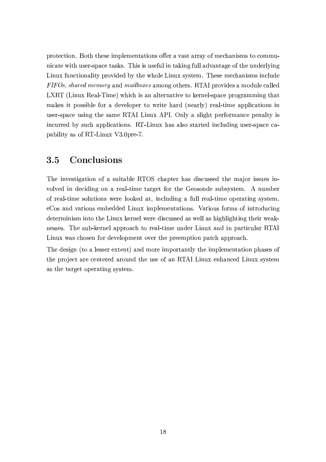protection. Both these implementations offer a vast array of mechanisms to communicate with user-space tasks. This is useful in taking full advantage of the underlying Linux functionality provided by the whole Linux system. These mechanisms include FIFOs, shared memory and mailboxes among others. RTAI provides a module called LXRT (Linux Real-Time) which is an alternative to kernel-space programming that makes it possible for a developer to write hard (nearly) real-time applications in user-space using the same RTAI Linux API. Only a slight performance penalty is incurred by such applications. RT-Linux has also started including user-space capability as of RT-Linux V3.0pre-7.

### $3.5$ Conclusions

The investigation of a suitable RTOS chapter has discussed the major issues involved in deciding on a real-time target for the Geosonde subsystem. A number of real-time solutions were looked at, including a full real-time operating system, eCos and various embedded Linux implementations. Various forms of introducing determinism into the Linux kernel were discussed as well as highlighting their weaknesses. The sub-kernel approach to real-time under Linux and in particular RTAI Linux was chosen for development over the preemption patch approach.

The design (to a lesser extent) and more importantly the implementation phases of the project are centered around the use of an RTAI Linux enhanced Linux system as the target operating system.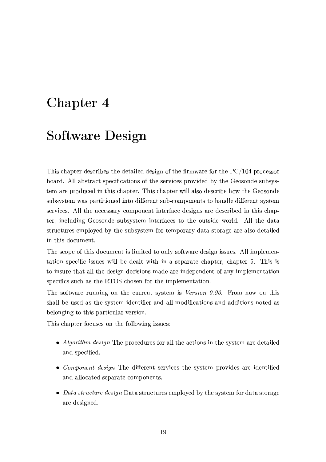# Chapter 4

## **Software Design**

This chapter describes the detailed design of the firmware for the  $PC/104$  processor board. All abstract specifications of the services provided by the Geosonde subsystem are produced in this chapter. This chapter will also describe how the Geosonde subsystem was partitioned into different sub-components to handle different system services. All the necessary component interface designs are described in this chapter, including Geosonde subsystem interfaces to the outside world. All the data structures employed by the subsystem for temporary data storage are also detailed in this document.

The scope of this document is limited to only software design issues. All implementation specific issues will be dealt with in a separate chapter, chapter 5. This is to insure that all the design decisions made are independent of any implementation specifics such as the RTOS chosen for the implementation.

The software running on the current system is Version  $0.90$ . From now on this shall be used as the system identifier and all modifications and additions noted as belonging to this particular version.

This chapter focuses on the following issues:

- Algorithm design The procedures for all the actions in the system are detailed and specified.
- Component design The different services the system provides are identified and allocated separate components.
- Data structure design Data structures employed by the system for data storage are designed.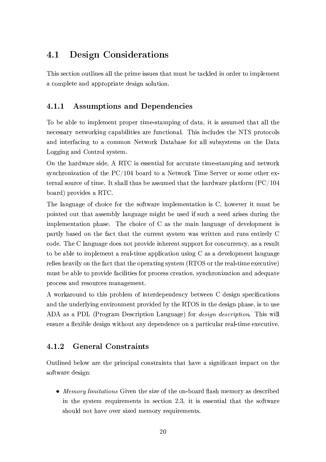### 4.1 **Design Considerations**

This section outlines all the prime issues that must be tackled in order to implement a complete and appropriate design solution.

### **Assumptions and Dependencies**  $4.1.1$

To be able to implement proper time-stamping of data, it is assumed that all the necessary networking capabilities are functional. This includes the NTS protocols and interfacing to a common Network Database for all subsystems on the Data Logging and Control system.

On the hardware side, A RTC is essential for accurate time-stamping and network synchronization of the  $PC/104$  board to a Network Time Server or some other external source of time. It shall thus be assumed that the hardware platform  $(PC/104)$ board) provides a RTC.

The language of choice for the software implementation is C, however it must be pointed out that assembly language might be used if such a need arises during the implementation phase. The choice of C as the main language of development is partly based on the fact that the current system was written and runs entirely C code. The C language does not provide inherent support for concurrency, as a result to be able to implement a real-time application using C as a development language relies heavily on the fact that the operating system (RTOS or the real-time executive) must be able to provide facilities for process creation, synchronization and adequate process and resources management.

A workaround to this problem of interdependency between C design specifications and the underlying environment provided by the RTOS in the design phase, is to use ADA as a PDL (Program Description Language) for *design description*. This will ensure a flexible design without any dependence on a particular real-time executive.

### **General Constraints**  $4.1.2$

Outlined below are the principal constraints that have a significant impact on the software design:

• Memory limitations Given the size of the on-board flash memory as described in the system requirements in section 2.3, it is essential that the software should not have over sized memory requirements.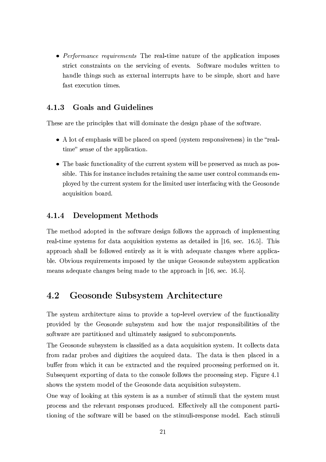• Performance requirements The real-time nature of the application imposes strict constraints on the servicing of events. Software modules written to handle things such as external interrupts have to be simple, short and have fast execution times.

#### **Goals and Guidelines**  $4.1.3$

These are the principles that will dominate the design phase of the software.

- A lot of emphasis will be placed on speed (system responsiveness) in the "realtime" sense of the application.
- The basic functionality of the current system will be preserved as much as possible. This for instance includes retaining the same user control commands employed by the current system for the limited user interfacing with the Geosonde acquisition board.

#### **Development Methods**  $4.1.4$

The method adopted in the software design follows the approach of implementing real-time systems for data acquisition systems as detailed in [16, sec. 16.5]. This approach shall be followed entirely as it is with adequate changes where applicable. Obvious requirements imposed by the unique Geosonde subsystem application means adequate changes being made to the approach in [16, sec. 16.5].

### 4.2 Geosonde Subsystem Architecture

The system architecture aims to provide a top-level overview of the functionality provided by the Geosonde subsystem and how the major responsibilities of the software are partitioned and ultimately assigned to subcomponents.

The Geosonde subsystem is classified as a data acquisition system. It collects data from radar probes and digitizes the acquired data. The data is then placed in a buffer from which it can be extracted and the required processing performed on it. Subsequent exporting of data to the console follows the processing step. Figure 4.1 shows the system model of the Geosonde data acquisition subsystem.

One way of looking at this system is as a number of stimuli that the system must process and the relevant responses produced. Effectively all the component partitioning of the software will be based on the stimuli-response model. Each stimuli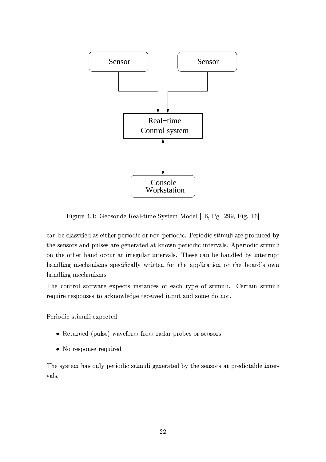

Figure 4.1: Geosonde Real-time System Model [16, Pg. 299, Fig. 16]

can be classified as either periodic or non-periodic. Periodic stimuli are produced by the sensors and pulses are generated at known periodic intervals. Aperiodic stimuli on the other hand occur at irregular intervals. These can be handled by interrupt handling mechanisms specifically written for the application or the board's own handling mechanisms.

The control software expects instances of each type of stimuli. Certain stimuli require responses to acknowledge received input and some do not.

Periodic stimuli expected:

- Returned (pulse) waveform from radar probes or sensors
- No response required

The system has only periodic stimuli generated by the sensors at predictable intervals.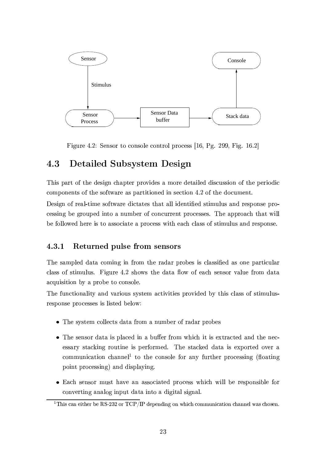

Figure 4.2: Sensor to console control process [16, Pg. 299, Fig. 16.2]

### 4.3 Detailed Subsystem Design

This part of the design chapter provides a more detailed discussion of the periodic components of the software as partitioned in section 4.2 of the document.

Design of real-time software dictates that all identified stimulus and response processing be grouped into a number of concurrent processes. The approach that will be followed here is to associate a process with each class of stimulus and response.

#### $4.3.1$ Returned pulse from sensors

The sampled data coming in from the radar probes is classified as one particular class of stimulus. Figure 4.2 shows the data flow of each sensor value from data acquisition by a probe to console.

The functionality and various system activities provided by this class of stimulusresponse processes is listed below:

- The system collects data from a number of radar probes
- The sensor data is placed in a buffer from which it is extracted and the necessary stacking routine is performed. The stacked data is exported over a communication channel<sup>1</sup> to the console for any further processing (floating point processing) and displaying.
- Each sensor must have an associated process which will be responsible for converting analog input data into a digital signal.

<sup>&</sup>lt;sup>1</sup>This can either be RS-232 or  $TCP/IP$  depending on which communication channel was chosen.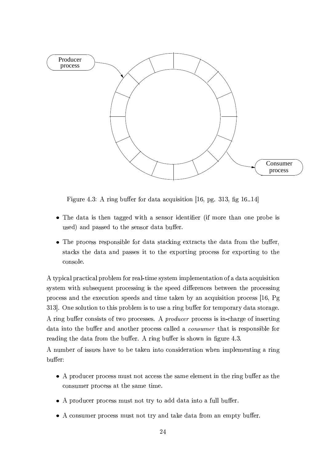

Figure 4.3: A ring buffer for data acquisition [16, pg. 313, fig 16.14]

- The data is then tagged with a sensor identifier (if more than one probe is used) and passed to the sensor data buffer.
- The process responsible for data stacking extracts the data from the buffer, stacks the data and passes it to the exporting process for exporting to the console.

A typical practical problem for real-time system implementation of a data acquisition system with subsequent processing is the speed differences between the processing process and the execution speeds and time taken by an acquisition process [16, Pg 313. One solution to this problem is to use a ring buffer for temporary data storage. A ring buffer consists of two processes. A *producer* process is in-charge of inserting data into the buffer and another process called a *consumer* that is responsible for reading the data from the buffer. A ring buffer is shown in figure 4.3.

A number of issues have to be taken into consideration when implementing a ring buffer:

- A producer process must not access the same element in the ring buffer as the consumer process at the same time.
- A producer process must not try to add data into a full buffer.
- A consumer process must not try and take data from an empty buffer.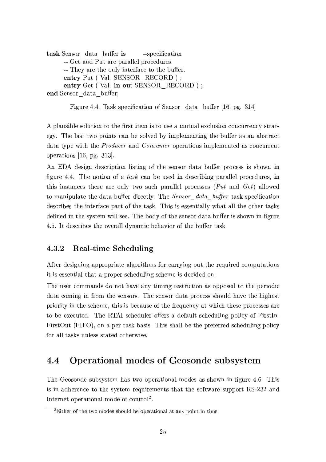```
task Sensor data buffer is
                               --specification
     -- Get and Put are parallel procedures.
     -- They are the only interface to the buffer.
     entry Put (Val: SENSOR RECORD);
     entry Get (Val: in out SENSOR RECORD);
end Sensor data buffer:
```

```
Figure 4.4: Task specification of Sensor data buffer [16, pg. 314]
```
A plausible solution to the first item is to use a mutual exclusion concurrency strategy. The last two points can be solved by implementing the buffer as an abstract data type with the *Producer* and *Consumer* operations implemented as concurrent operations  $[16, \text{pg. } 313]$ .

An EDA design description listing of the sensor data buffer process is shown in figure 4.4. The notion of a task can be used in describing parallel procedures, in this instances there are only two such parallel processes (Put and Get) allowed to manipulate the data buffer directly. The Sensor data buffer task specification describes the interface part of the task. This is essentially what all the other tasks defined in the system will see. The body of the sensor data buffer is shown in figure 4.5. It describes the overall dynamic behavior of the buffer task.

#### 4.3.2 Real-time Scheduling

After designing appropriate algorithms for carrying out the required computations it is essential that a proper scheduling scheme is decided on.

The user commands do not have any timing restriction as opposed to the periodic data coming in from the sensors. The sensor data process should have the highest priority in the scheme, this is because of the frequency at which these processes are to be executed. The RTAI scheduler offers a default scheduling policy of FirstIn-FirstOut (FIFO), on a per task basis. This shall be the preferred scheduling policy for all tasks unless stated otherwise.

### Operational modes of Geosonde subsystem  $4.4$

The Geosonde subsystem has two operational modes as shown in figure 4.6. This is in adherence to the system requirements that the software support RS-232 and Internet operational mode of control<sup>2</sup>.

<sup>&</sup>lt;sup>2</sup>Either of the two modes should be operational at any point in time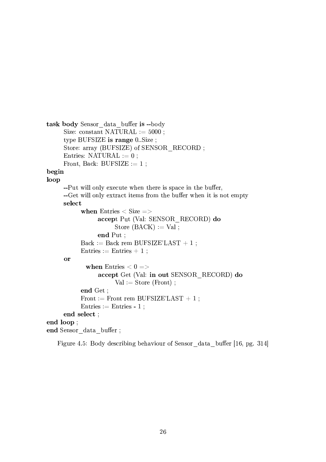```
task body Sensor data buffer is -- body
     Size: constant NATURAL := 5000;
     type BUFSIZE is range 0. Size;
     Store: array (BUFSIZE) of SENSOR RECORD;
     Entries: NATURAL := 0;
     Front, Back: BUFSIZE := 1;
begin
loop
     --Put will only execute when there is space in the buffer,
     --Get will only extract items from the buffer when it is not empty
     select
           when Entries < Size = >
                accept Put (Val: SENSOR RECORD) do
                      Store (BACK) := Val;
                end Put :
           Back := Back rem BUFSIZE'LAST + 1;
           Entries := Entries + 1;
     or
            when Entries < 0 \Rightarrowaccept Get (Val: in out SENSOR RECORD) do
                      Val := Store (Front):
           end Get ;
           Front := Front rem BUFSIZE'LAST + 1;
           Entries := Entries - 1;
     end select;
end loop;
end Sensor data buffer;
```
Figure 4.5: Body describing behaviour of Sensor data buffer [16, pg. 314]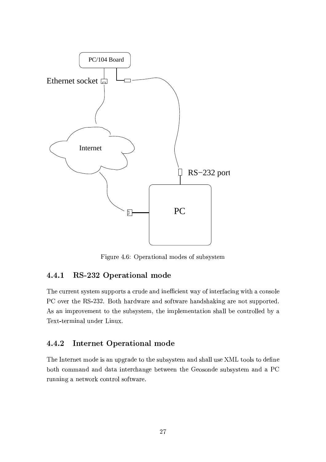

Figure 4.6: Operational modes of subsystem

### RS-232 Operational mode 4.4.1

The current system supports a crude and inefficient way of interfacing with a console PC over the RS-232. Both hardware and software handshaking are not supported. As an improvement to the subsystem, the implementation shall be controlled by a Text-terminal under Linux.

### **Internet Operational mode** 4.4.2

The Internet mode is an upgrade to the subsystem and shall use XML tools to define both command and data interchange between the Geosonde subsystem and a PC running a network control software.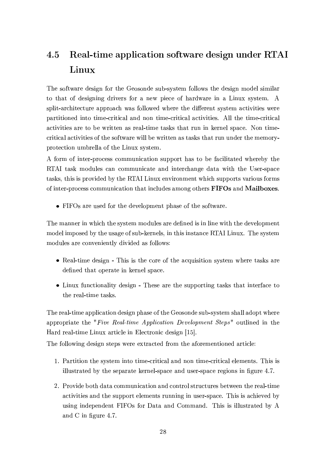## 4.5 Real-time application software design under RTAI Linux

The software design for the Geosonde sub-system follows the design model similar to that of designing drivers for a new piece of hardware in a Linux system. A split-architecture approach was followed where the different system activities were partitioned into time-critical and non time-critical activities. All the time-critical activities are to be written as real-time tasks that run in kernel space. Non timecritical activities of the software will be written as tasks that run under the memoryprotection umbrella of the Linux system.

A form of inter-process communication support has to be facilitated whereby the RTAI task modules can communicate and interchange data with the User-space tasks, this is provided by the RTAI Linux environment which supports various forms of inter-process communication that includes among others FIFOs and Mailboxes.

• FIFOs are used for the development phase of the software.

The manner in which the system modules are defined is in line with the development model imposed by the usage of sub-kernels, in this instance RTAI Linux. The system modules are conveniently divided as follows:

- Real-time design This is the core of the acquisition system where tasks are defined that operate in kernel space.
- Linux functionality design These are the supporting tasks that interface to the real-time tasks.

The real-time application design phase of the Geosonde sub-system shall adopt where appropriate the "Five Real-time Application Development Steps" outlined in the Hard real-time Linux article in Electronic design [15].

The following design steps were extracted from the aforementioned article:

- 1. Partition the system into time-critical and non time-critical elements. This is illustrated by the separate kernel-space and user-space regions in figure 4.7.
- 2. Provide both data communication and control structures between the real-time activities and the support elements running in user-space. This is achieved by using independent FIFOs for Data and Command. This is illustrated by A and C in figure 4.7.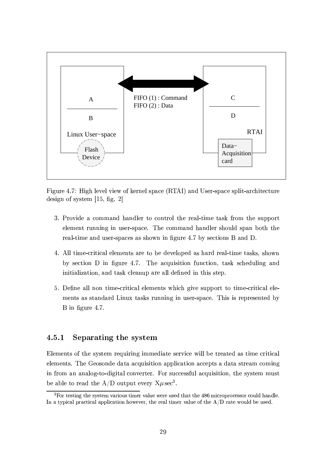

Figure 4.7: High level view of kernel space (RTAI) and User-space split-architecture design of system  $[15, fig. 2]$ 

- 3. Provide a command handler to control the real-time task from the support element running in user-space. The command handler should span both the real-time and user-spaces as shown in figure 4.7 by sections B and D.
- 4. All time-critical elements are to be developed as hard real-time tasks, shown by section D in figure 4.7. The acquisition function, task scheduling and initialization, and task cleanup are all defined in this step.
- 5. Define all non time-critical elements which give support to time-critical elements as standard Linux tasks running in user-space. This is represented by B in figure 4.7.

#### $4.5.1$ Separating the system

Elements of the system requiring immediate service will be treated as time critical elements. The Geosonde data acquisition application accepts a data stream coming in from an analog-to-digital converter. For successful acquisition, the system must be able to read the A/D output every  $X\mu$  sec<sup>3</sup>.

 $3$ For testing the system various timer value were used that the  $486$  microprocessor could handle. In a typical practical application however, the real timer value of the  $A/D$  rate would be used.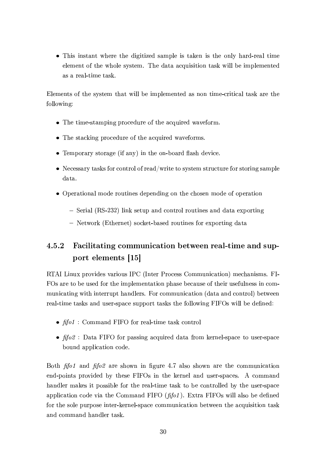• This instant where the digitized sample is taken is the only hard-real time element of the whole system. The data acquisition task will be implemented as a real-time task.

Elements of the system that will be implemented as non time-critical task are the following:

- The time-stamping procedure of the acquired waveform.
- The stacking procedure of the acquired waveforms.
- Temporary storage (if any) in the on-board flash device.
- Necessary tasks for control of read/write to system structure for storing sample data.
- Operational mode routines depending on the chosen mode of operation
	- Serial (RS-232) link setup and control routines and data exporting
	- Network (Ethernet) socket-based routines for exporting data

## 4.5.2 Facilitating communication between real-time and support elements [15]

RTAI Linux provides various IPC (Inter Process Communication) mechanisms. FI-FOs are to be used for the implementation phase because of their usefulness in communicating with interrupt handlers. For communication (data and control) between real-time tasks and user-space support tasks the following FIFOs will be defined:

- $\hat{f}$  fol: Command FIFO for real-time task control
- $\oint$  fifo2 : Data FIFO for passing acquired data from kernel-space to user-space bound application code.

Both  $\hat{f}$  fifold and  $\hat{f}$  folled are shown in figure 4.7 also shown are the communication end-points provided by these FIFOs in the kernel and user-spaces. A command handler makes it possible for the real-time task to be controlled by the user-space application code via the Command FIFO  $(fifo1)$ . Extra FIFOs will also be defined for the sole purpose inter-kernel-space communication between the acquisition task and command handler task.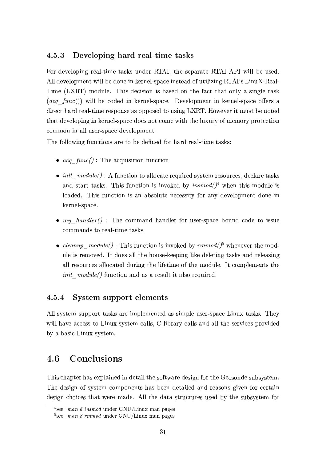#### 4.5.3 Developing hard real-time tasks

For developing real-time tasks under RTAI, the separate RTAI API will be used. All development will be done in kernel-space instead of utilizing RTAI's LinuX-Real-Time (LXRT) module. This decision is based on the fact that only a single task  $(a c q \space func))$  will be coded in kernel-space. Development in kernel-space offers a direct hard real-time response as opposed to using LXRT. However it must be noted that developing in kernel-space does not come with the luxury of memory protection common in all user-space development.

The following functions are to be defined for hard real-time tasks:

- $acq$   $func()$ : The acquisition function
- $init \mod{m}$  : A function to allocate required system resources, declare tasks and start tasks. This function is invoked by  $insmod/$ <sup>4</sup> when this module is loaded. This function is an absolute necessity for any development done in kernel-space.
- $my$  handler(): The command handler for user-space bound code to issue commands to real-time tasks.
- *cleanup*  $module()$ : This function is invoked by  $rmmod()^{5}$  whenever the module is removed. It does all the house-keeping like deleting tasks and releasing all resources allocated during the lifetime of the module. It complements the *init module()* function and as a result it also required.

#### 4.5.4 System support elements

All system support tasks are implemented as simple user-space Linux tasks. They will have access to Linux system calls, C library calls and all the services provided by a basic Linux system.

### Conclusions  $4.6$

This chapter has explained in detail the software design for the Geosonde subsystem. The design of system components has been detailed and reasons given for certain design choices that were made. All the data structures used by the subsystem for

<sup>&</sup>lt;sup>4</sup>see: man 8 insmod under GNU/Linux man pages

<sup>&</sup>lt;sup>5</sup>see: *man 8 rmmod* under GNU/Linux man pages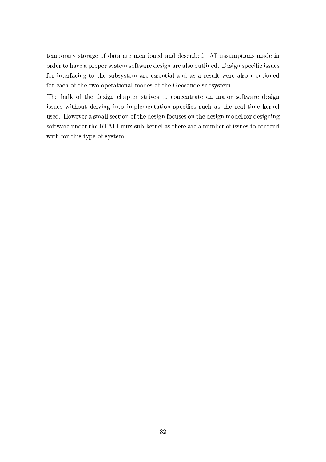temporary storage of data are mentioned and described. All assumptions made in order to have a proper system software design are also outlined. Design specific issues for interfacing to the subsystem are essential and as a result were also mentioned for each of the two operational modes of the Geosonde subsystem.

The bulk of the design chapter strives to concentrate on major software design issues without delving into implementation specifics such as the real-time kernel used. However a small section of the design focuses on the design model for designing software under the RTAI Linux sub-kernel as there are a number of issues to contend with for this type of system.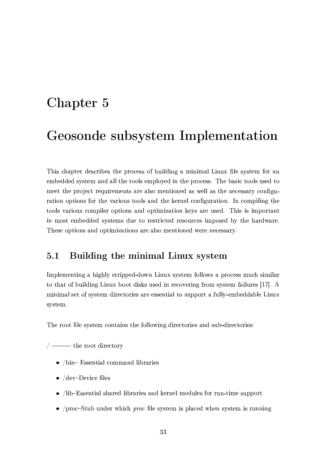# experimental contracts and contracts are all the contracts of the contracts of the contracts of the contracts of the contracts of the contracts of the contracts of the contracts of the contracts of the contracts of the con

## - !- -#" \$

This chapter describes the process of building a minimal Linux file system for an embedded system and all the tools employed in the process. The basic tools used to meet the project requirements are also mentioned as well as the necessary configuration options for the various tools and the kernel configuration. In compiling the tools various compiler options and optimization keys are used. This is important in most embedded systems due to restricted resources imposed by the hardware. These options and optimizations are also mentioned were necessary.

## 5.1 Building the minimal Linux system

Implementing a highly stripped-down Linux system follows a process much similar to that of building Linux boot disks used in recovering from system failures [17]. A minimal set of system directories are essential to support a fully-embeddable Linux system.

The root file system contains the following directories and sub-directories:

is a constant of the constant of the constant of the constant of the constant of the constant of the constant of the constant of the constant of the constant of the constant of the constant of the constant of the constant

- $\bullet$  (kin Essential commond libraries)
- ¡ 6-25c¢H¥2XcN \* <sup>2</sup> IK?<sup>2</sup> (
- $\sim$  (i.b. Essential shaned libraries and leaved madules for nun time support
- $\epsilon$ ,  $\sqrt{2}$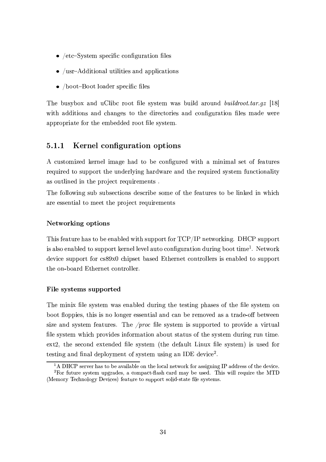- $\epsilon$  /ote System greethe configuration files
- $\sim$  (use Additional utilities and applications).
- $\sim$  (keet Deet leeden an  $\mathcal{L}$  flee

%'&-2 9->-(MLN9 <G ,@6 >-? 9p\* 4Q<H<a0 IK? <sup>2</sup> (QLN(032RB ^,(9-> ?<sup>6</sup> ,/48<>1@6 /©3ªª

/© C with additions and changes to the directories and configuration files made were appropriate for the embedded root file system.

## 5.1.1 Kernel configuration options

A customized kernel image had to be configured with a minimal set of features required to support the underlying hardware and the required system functionality as outlined in the project requirements.

The following sub subsections describe some of the features to be linked in which are essential to meet the project requirements

## Networking options

%'&- ( =P2R,a0 <sup>&</sup>gt;<sup>482</sup> &K,( 03< <sup>9</sup> <sup>2</sup> 2@,91? 2R6 ^)08& (8>.-.p</4Q0=P<\_4 %-U h9Ue@2X0^</48fF@-A1VE¥1V&-U (Q>.-.n<\_4Q0 is also enabled to support kernel level auto configuration during boot time<sup>1</sup>. Network device support for  $cs89x0$  chipset based Ethernet controllers is enabled to support the on-board Ethernet controller.

## File systems supported

The minix file system was enabled during the testing phases of the file system on boot floppies, this is no longer essential and can be removed as a trade-off between size and system features. The */proc* file system is supported to provide a virtual file system which provides information about status of the system during run time. ext2, the second extended file system (the default Linux file system) is used for testing and final deployment of system using an IDE device<sup>2</sup>.

<sup>&</sup>lt;sup>1</sup>A DHCP server has to be available on the local network for assigning IP address of the device. <sup>2</sup>For future system upgrades, a compact-flash card may be used. This will require the MTD (Memory Technology Devices) feature to support solid-state file systems.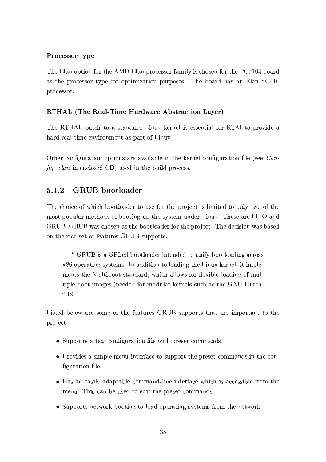## $\mathcal{L}_{\mathcal{S}}$  and  $\mathcal{L}_{\mathcal{S}}$  and  $\mathcal{L}_{\mathcal{S}}$  and  $\mathcal{L}_{\mathcal{S}}$  and  $\mathcal{L}_{\mathcal{S}}$  and  $\mathcal{L}_{\mathcal{S}}$

 $\mathbb{R}^n$  , and  $\mathbb{R}^n$  is a contract to the contract of the contract of  $\mathbb{R}^n$  . The contract of the contract of the contract of the contract of the contract of the contract of the contract of the contract of the , and the contract of the contract of the contract of the contract of the contract of  $\alpha$   $\alpha$ processor.

## N>r>\_J{c>FgNBFI> ¦S@Fk@IJQDGKAaG>AF!

The RTHAL patch to a standard Linux kernel is essential for RTAI to provide a hard real-time environment as part of Linux.

Other configuration options are available in the kernel configuration file (see  $Con \sim$  . The contract of the contract of the contract of the contract of the contract of the contract of the contract of the contract of the contract of the contract of the contract of the contract of the contract of the co

## 5.1.2 GRUB bootloader

The choice of which bootloader to use for the project is limited to only two of the most popular methods of booting-up the system under Linux. These are LILO and GRUB. GRUB was chosen as the bootloader for the project. The decision was based on the rich set of features GRUB supports.

" GRUB is a GPLed bootloader intended to unify bootloading across  $x86$  operating systems. In addition to loading the Linux kernel, it implements the Multiboot standard, which allows for flexible loading of multiple boot images (needed for modular kernels such as the GNU Hurd). ? Z

Listed below are some of the features GRUB supports that are important to the project.

- Supports a text configuration file with preset commands
- Provides a simple menu interface to support the preset commands in the configuration file
- Has an easily adaptable command-line interface which is accessible from the menu. This can be used to edit the preset commands
- Supports network booting to load operating systems from the network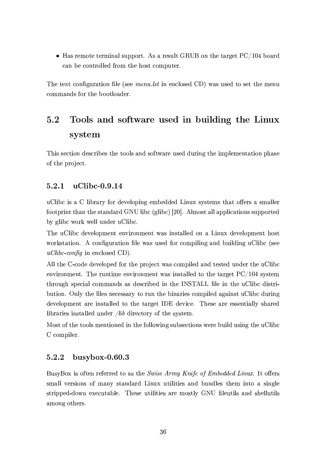$\mathbf{H}$  (  $\mathbf{V}$  ) (  $\mathbf{A}$  )  $\mathbf{A}$  ( $\mathbf{C}$ )  $\mathbf{H}$   $\mathbf{D}$   $\mathbf{C}$   $\mathbf{A}$   $\mathbf{A}$   $\mathbf{I}$  ) ( $\mathbf{A}$ can be controlled from the host computer.

%'&-2k082G0 \*<@1IKA/>43,a08:<@I-? 2mp (2R2\*& -<sup>b</sup> @ 2@-\*5?<(2R6 -¥<sup>q</sup> ^,(T>-(2R603< ( 2X0Y08&-2rB;2@N> commands for the bootloader.

## $\omega$  . The south of the south of the south of the south  $\omega$  and  $\omega$  and  $\omega$  and  $\omega$  and  $\omega$  and  $\omega$  and  $\omega$  and  $\omega$  and  $\omega$  and  $\omega$  and  $\omega$  and  $\omega$  and  $\omega$  and  $\omega$  and  $\omega$  and  $\omega$  and  $\omega$  and  $\omega$  and  $\omega$ system

This section describes the tools and software used during the implementation phase of the project.

## $5.2.1$  uClibc-0.9.14

>-? 9n\* ( , - ? 943,/4L =P<\_4\6-2Xc\_2 ?<\_.-@-A 2RB9 2R616-2R6 <sup>D</sup>@F>HG (QLN( 082RB( 03&K,a0\<kjg254 ( , (BC,?:? <sup>254</sup> footprint than the standard GNU libc (glibc) [20]. Almost all applications supported 9. 9pt 9. 9pt 9. 9pt 9. 9pt 9. 9pt 9. 9pt 9. 9pt 9. 9pt 9. 9pt 9. 9pt 9. 9pt 9. 9pt 9. 9pt 9. 9pt 9. 9pt 9. 9p

%'&-2 >-? 9n\* 6125c\_2?<\_.1B;2@0o2@cH)48<@B;2@0 ^,( @-( 03,?:?2R6l<@ , <sup>D</sup>@F>HG 6125c\_2?<\_.1B;2@0o&1<( <sup>0</sup>  $\bullet$  . And  $\bullet$  . And  $\bullet$  . And  $\bullet$  . And  $\bullet$  . The set of  $\bullet$  . The set of  $\bullet$  . And  $\bullet$  . And  $\bullet$  . And  $\bullet$  . And  $\bullet$  . And  $\bullet$  . And  $\bullet$  . And  $\bullet$  . And  $\bullet$  . And  $\bullet$  . And  $\bullet$  . And  $\bullet$  . And  $\bullet$  . An \$ LX« (8ǻ'&);@ 2@-\*R?<( <sup>256</sup> -¥<sup>q</sup> <sup>V</sup>

Y?:? 03&-2 -` \*<N6-2k6-25c/2 ?<\_.p256=P<\_4 03&12k.-48<[ZQ2\*0 ^,('\*</B;.- ? 256,@6082 ( 082R6 >-@6-25403&-2 >-? 9n\*  $\overline{a}$  , and  $\overline{a}$  and  $\overline{a}$  is a chinese of  $\overline{a}$  . The chinese of  $\overline{a}$  $\mathcal{C}^*$  . The contract of the contract  $\mathcal{C}^*$  and  $\mathcal{C}^*$  are  $\mathcal{C}^*$  . The contract of the contract of the contract of the contract of the contract of the contract of the contract of the contract of the cont 9->03:<@ V #@-?)L 03&-2 I-? <sup>2</sup> ('@<sup>2</sup> \* 2(8(,/4L 03<4>-@ 03&-2 <sup>9</sup>@,/4Q:2 ( \*<\_B.- ?2R6,A,/@-(0 >-? 9n\* 6>4Q@-A development are installed to the target IDE device. These are essentially shared libraries installed under */lib* directory of the system.

<( <sup>0</sup> </= 03&12T08<H<?:( B2@08:<@256o@ 03&12=P<?:?<^@-Ab(Q>-9-(2 \*08:<@1( ^2R4Q2 91> ?<sup>6</sup> >-( @-A 03&-2 >-? 9n\* - \*<\_B.- ?2R4 <sup>V</sup>

## .-^.- 6123<6E+

>1(QL8<G ( </=082@ 482X=P2R484Q2R603<;,( 03&-2! "6#-\$-&%b©'!(!)&\*\* ª+\*-,m \*\*/.¦&10V <sup>h</sup>0U<kjg254 ( small versions of many standard Linux utilities and bundles them into a single stripped-down executable. These utilities are mostly GNU fileutils and shellutils among others.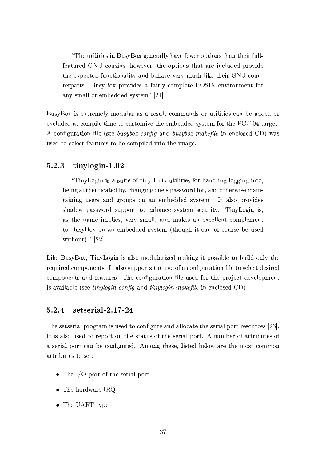"The utilities in BusyBox generally have fewer options than their fullfeatured GNU cousins; however, the options that are included provide the expected functionality and behave very much like their GNU coun-082R4Q.K,/4Q0 (RV >-(ML%<G .-48<cN:6-2( ,=,/:4?)LJ\*</B;.?25082 <sup>U</sup>#§Nh- 2@cN:48<@B;2@0=P<\_4 any small or embedded system"  $[21]$ 

BusyBox is extremely modular as a result commands or utilities can be added or 2G1\*5?:>612R6,a0 \*<\_B;.1 ? 208:B2'03< \*R>-(03<\_B <sup>m</sup> 2U08&-2Y25B9 2R6-6-256 (QLN(032RB!=P<\_4W03&12 U- \ © 0,a4A2X0 <sup>V</sup> !\*<@1IKA\_>48,a03)<@JIK? 2`p (2R2 - (kXª0!(8«ª'&)e,@6 - (kXª0!(mA\*) \* @ 2@1\*R?<( 2R6 -¥q^,( used to select features to be compiled into the image.

## $5.2.3$  tinylogin-1.02

"TinyLogin is a suite of tiny Unix utilities for handling logging into, being authenticated by, changing one's password for, and otherwise maintaining users and groups on an embedded system. It also provides shadow password support to enhance system security. TinyLogin is, as the name implies, very small, and makes an excellent complement to BusyBox on an embedded system (though it can of course be used without)."  $[22]$ 

Like BusyBox, TinyLogin is also modularized making it possible to build only the required components. It also supports the use of a configuration file to select desired components and features. The configuration file used for the project development  $\sim$  ,  $\sim$  ,  $\sim$  ,  $\sim$  ,  $\sim$  ,  $\sim$  ,  $\sim$  ,  $\sim$  ,  $\sim$  ,  $\sim$  ,  $\sim$ 

## $5.2.4$  setserial- $2.17$ - $24$

%'&-2 (<sup>250</sup> (2R4Q¤,? .-4Q<A48,/B (W>1( 2R6o03< \*<@1IKA\_>4Q2U,@6;,?:?< \*,a032 03&-2 ( 2548:,? .p</4Q0 482(<>4\* 2(b <sup>n</sup> ¬ <sup>V</sup> It is also used to report on the status of the serial port. A number of attributes of a serial port can be configured. Among these, listed below are the most common attributes to set:

- The I/O port of the serial port
- $\bullet$  The hardware IRQ
- The UART type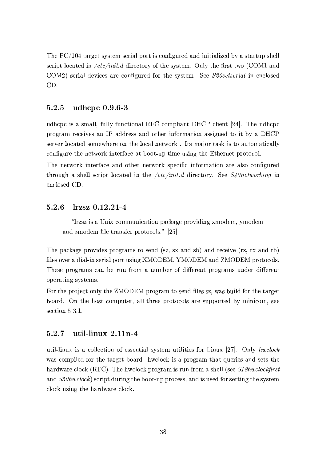%'&-2 U- \ © 03,/4A2X0 (QLN( 082RB ( 2548¤,? .p<\_4M0 ( \*<@1IKA\_>4Q2R6C,@6@03¤,? <sup>m</sup> 2R6 9FL , (0,/4M0 <sup>&</sup>gt;. (&-2?:? (Q\* 48).10 ?<sup>&</sup>lt; \* ,a082R6C@ <sup>l</sup>\* j«lG& ;61:482\*08<\_4L </= 08&-2 (MLN( 0325BV #@-?L 03&-2 <sup>I</sup><sup>4</sup> ( <sup>0</sup> 0^<?p-# ,@6 -#n[q ( 2548¤,? 6-2XcH\* 2( ,/482 \*<@1I-A\_>48256l=P<\_4+08&-2 (MLH(0325BV § 252 -- \* - \* ©bLk '@ 2@-\*R?<( <sup>256</sup>  $\sim$   $\sim$   $\sim$   $\sim$ 

## $5.2.5$  udhcpc  $0.9.6-3$

<sup>&</sup>gt;61&\*. \* ( , (B;,?:?{i =>-?)?)L =>-@-\*03:<@,? "- \*<\_B.? :,@0 ¥1V1-U \*R? )2@0 <sup>n</sup> © <sup>V</sup> %'&-2 <sup>&</sup>gt;6-&\*. \* . A set of  $\mathbf{A}^T$  ,  $\mathbf{A}^T$  ,  $\mathbf{A}^T$  ,  $\mathbf{A}^T$  ,  $\mathbf{A}^T$  ,  $\mathbf{A}^T$  ,  $\mathbf{A}^T$  ,  $\mathbf{A}^T$  ,  $\mathbf{A}^T$  ,  $\mathbf{A}^T$  ,  $\mathbf{A}^T$  ,  $\mathbf{A}^T$  ,  $\mathbf{A}^T$  ,  $\mathbf{A}^T$  ,  $\mathbf{A}^T$  ,  $\mathbf{A}^T$  ,  $\$ server located somewhere on the local network. Its major task is to automatically configure the network interface at boot-up time using the Ethernet protocol.

The network interface and other network specific information are also configured 08&-48<>1A& , (&-2 ?)?(8\*48:.H0 ?<sup>&</sup>lt; \*,a03256@ 03&-2rl\* j«lG& 6-)482 \*03<\_4L\_V§ 252 -'& \* "ª[©& @ 2@-\*R?<( <sup>256</sup> -¥7V

## $5.2.6$   $\;$  lrzsz 0.12.21-4

"Trzsz is a Unix communication package providing xmodem, ymodem , and  $\mathcal{A}$  is a set of  $\mathcal{A}$  . The set of  $\mathcal{A}$  is a set of  $\mathcal{A}$ 

The package provides programs to send (sz, sx and sb) and receive (rz, rx and rb)  $\mathcal{P}$ These programs can be run from a number of different programs under different operating systems.

For the project only the ZMODEM program to send files sz, was build for the target board. On the host computer, all three protocols are supported by minicom, see (<sup>2</sup> \*08:<@ @ <sup>V</sup> <sup>¬</sup> V\_V

## $5.2.7$  util-linux  $2.11n-4$

util-linux is a collection of essential system utilities for Linux [27]. Only hwclock was compiled for the target board. hwclock is a program that queries and sets the  $\alpha$  . The  $\alpha$  is the state of the state of the state of the state of the state of the state of the state of the state of the state of the state of the state of the state of the state of the state of the state of the sta , which is a construction of the construction of the construction of the construction of the construction of the construction of the construction of the construction of the construction of the construction of the construct clock using the hardware clock.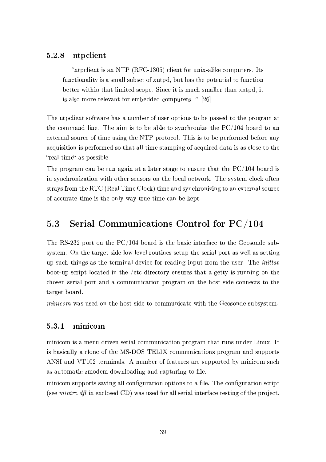## 5.2.8 ntpclient

 $\overline{a}$  , the state  $\overline{b}$  in  $\overline{c}$  ,  $\overline{c}$  ,  $\overline{a}$  ,  $\overline{a}$  ,  $\overline{a}$  ,  $\overline{a}$  ,  $\overline{a}$  ,  $\overline{a}$  ,  $\overline{a}$  ,  $\overline{a}$  ,  $\overline{a}$  ,  $\overline{a}$  ,  $\overline{a}$  ,  $\overline{a}$  ,  $\overline{a}$  ,  $\overline{a}$  ,  $\overline{a}$  , functionality is a small subset of xntpd, but has the potential to function better within that limited scope. Since it is much smaller than xntpd, it is also more relevant for embedded computers. "[26]

The ntpclient software has a number of user options to be passed to the program at  $\alpha$  . The set of the set of the set of the set of the set of the set of the set of the set of the set of the set of the set of the set of the set of the set of the set of the set of the set of the set of the set of the s external source of time using the NTP protocol. This is to be performed before any acquisition is performed so that all time stamping of acquired data is as close to the "real time" as possible.

%'&-2i.-4Q<A43,aB \* ,@#9 2r4>-@ ,A,/@ ,a0Y, ? ,a082R4 ( 03,A2r03<2@-(Q>482r03&-,a0Y08&-2 U- \ © <sup>9</sup> <q,a486 ( in synchronization with other sensors on the local network. The system clock often  $\alpha$  . The property of the contract of the contract of the contract of the contract of the contract of the contract of the contract of the contract of the contract of the contract of the contract of the contract of the co of accurate time is the only way true time can be kept.

### $5.3$ y5iz7w|yk~y7| +|o~ +z  
ou

 $\mathbb{R}^{n}$  , and  $\mathbb{R}^{n}$  , and  $\mathbb{R}^{n}$  , and  $\mathbb{R}^{n}$  , and  $\mathbb{R}^{n}$ system. On the target side low level routines setup the serial port as well as setting  $\bullet$  . (8)  $\bullet$  . (8)  $\bullet$  . (8)  $\bullet$  . (8)  $\bullet$  . (8)  $\bullet$  . (8)  $\bullet$  . (8)  $\bullet$  . (8)  $\bullet$  . (8)  $\bullet$  . (8)  $\bullet$  . (8)  $\bullet$  . (8)  $\bullet$  . (8)  $\bullet$  . (8)  $\bullet$  . (8)  $\bullet$  . (8)  $\bullet$  . (8)  $\bullet$  . (8)  $\bullet$  . (8)  $\bullet$  . (8) boot-up script located in the /etc directory ensures that a getty is running on the chosen serial port and a communication program on the host side connects to the target board.

 $minicom$  was used on the host side to communicate with the Geosonde subsystem.

## 5.3.1 minicom

minicom is a menu driven serial communication program that runs under Linux. It  $\mathcal{N}$  , and  $\mathcal{N}$  as a set of  $\mathcal{N}$  and  $\mathcal{N}$  . The set of  $\mathcal{N}$  is a set of  $\mathcal{N}$ ANSI and VT102 terminals. A number of features are supported by minicom such as automatic zmodem downloading and capturing to file.

minicom supports saving all configuration options to a file. The configuration script  $\rho$  ( 28.  $\rho$ ) (256  $\rho$  ) (256  $\rho$  ) (256  $\rho$  ) (256  $\rho$  ) (256  $\rho$  ) (256  $\rho$  ) (256  $\rho$  ) (256  $\rho$  ) (256  $\rho$  ) (256  $\rho$  ) (256  $\rho$  ) (256  $\rho$  ) (256  $\rho$  ) (256  $\rho$  ) (256  $\rho$  ) (256  $\rho$  ) (256  $\rho$  )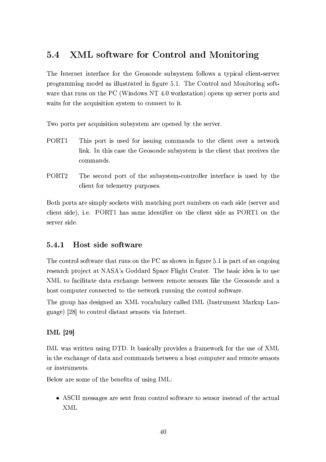## sot - [~
x  7|~ +zi|{ -7|y¦~ yR|}

The Internet interface for the Geosonde subsystem follows a typical client-server . A B  $\sim$  (1)  $\sim$  (1)  $\sim$  (1)  $\sim$  (1)  $\sim$  (1)  $\sim$  (1)  $\sim$  (1)  $\sim$  (1)  $\sim$  (1)  $\sim$  (1)  $\sim$  (1)  $\sim$  (1)  $\sim$  (1)  $\sim$  (1)  $\sim$  (1)  $\sim$  (1)  $\sim$  (1)  $\sim$  (1)  $\sim$  (1)  $\sim$  (1)  $\sim$  (1)  $\sim$  (1)  $\sim$  (1)  $\sim$  (1)  $\sim$  03  $\sim$  03  $\sim$  03  $\sim$  03  $\sim$  03  $\sim$  03  $\sim$  03  $\sim$  0.03: (200  $\sim$  0.03) waits for the acquisition system to connect to it.

Two ports per acquisition subsystem are opened by the server.

- PORT1 This port is used for issuing commands to the client over a network link. In this case the Geosonde subsystem is the client that receives the commands.
- PORT2 The second port of the subsystem-controller interface is used by the client for telemetry purposes.

Both ports are simply sockets with matching port numbers on each side (server and client side), i.e. PORT1 has same identifier on the client side as PORT1 on the server side.

## 3 !+-<5 <8773 <8+5 O4-"%

%'&-2 \*<@034Q<?1(</=0^,a48203&-,a0E4>-@-( <@ 08&-2 U- ,(E(&-<^T@ @+IKA\_>4Q2 @ V) ( .-,/4Q0W<a=g,@ <@-A</@-A 4Q2 ( 2R,/4\*&#.-48<ZQ2 \*0b,a0 XY\§H ( 9<N6-6K,/4Q6 § .K,\*2 ? A&q0 -2@032R4 <sup>V</sup> %'&-2 <sup>9</sup>,( \* :6-2R, ( 03< >-( <sup>2</sup> -D 03<=,\* ? 0,a08276K,[0,2GH\*&K,@-A2 <sup>9</sup> 250^2R2@ 4825B;</082 ( 2@1(<\_4(7? )f/2d08&-2 925<(<@6-2C,@6 , host computer connected to the network running the control software.

%'&-2 <sup>A</sup>4Q<>.&K,( 6-2 ( A\_@2R6#,@ -D c\_< \* ,9->-? ,a4L\*,?:?2R6 hD <sup>p</sup> hj@-( 084>B2@0 ,/48f>. <sup>D</sup>,@H` guage) [28] to control distant sensors via Internet.

## $IML$  [29]

 $\mathbf{r}\cdot\mathbf{r}$  , and  $\mathbf{r}\cdot\mathbf{r}$  , and  $\mathbf{r}\cdot\mathbf{r}$  , and  $\mathbf{r}\cdot\mathbf{r}$ in the exchange of data and commands between a host computer and remote sensors or instruments.

Below are some of the benefits of using IML:

 $\{A\}$   $\{A\}$ -D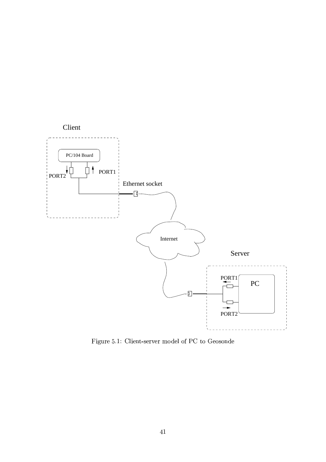

A\_>4Q2 @ V)/-? :2@0 `j(2R4Mc\_2R4TB<H612 ? </= U- 08< 92R<(<@6-2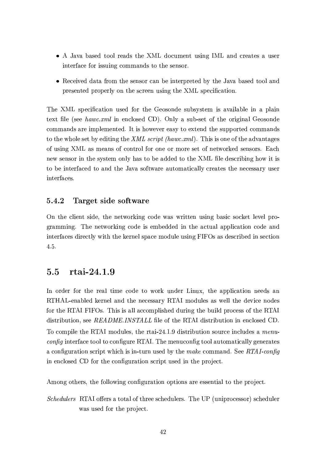- ¡ ,ca, <sup>9</sup>,(2R608<H<? 482R,/6( 03&-2 -D 6-< \*R>B;2@0 >-( @-AJhD ,@6 \* 4Q2 ,a082 ( , >1( 2R4 interface for issuing commands to the sensor.
- Received data from the sensor can be interpreted by the Java based tool and . The contraction of the contraction of  $\alpha$  and  $\alpha$  -contraction of  $\alpha$  -contraction of  $\alpha$  -contraction of  $\alpha$

%'&-2 -D (.p2\* I-\* ,a08:<@ >-(2R6 =P<\_403&-2 92R<(<@612 (Q>-9-(MLH(0325B ( ,c/,a ? ,9-?2@ , .? ,a@ 082G0 IK? 2Op ( <sup>252</sup> 1"« 0 '@ 2@-\*5?<(2R6 -¥qV #@-?L , (Q>-9H`j(250</=T03&12</48A@,? 92R<(<@6-2 commands are implemented. It is however easy to extend the supported commands  $\mathcal{C}=\mathcal{C}=\mathcal{C}=\mathcal{C}=\mathcal{C}=\mathcal{C}=\mathcal{C}=\mathcal{C}=\mathcal{C}=\mathcal{C}=\mathcal{C}=\mathcal{C}=\mathcal{C}=\mathcal{C}=\mathcal{C}=\mathcal{C}=\mathcal{C}=\mathcal{C}=\mathcal{C}=\mathcal{C}=\mathcal{C}=\mathcal{C}=\mathcal{C}=\mathcal{C}=\mathcal{C}=\mathcal{C}=\mathcal{C}=\mathcal{C}=\mathcal{C}=\mathcal{C}=\mathcal{C}=\mathcal{C}=\mathcal{C}=\mathcal{C}=\mathcal{C}=\mathcal{C}=\mathcal{$ </= >1( @1A -D ,( B;2R,@-( <a= \*<@034Q<? =P<\_4b<@2<\_4\B<\_4Q2 ( 2X0r</= @250^<\_4Qf/2R6 ( 2@-(<\_4(RV7£,\*& @2^ (2@-(<\_4T@ 03&12 (QLN( 082RB<@-?L &-,( 03< <sup>9</sup> 2r,/6-6-25608<d03&-2 -#D IK?2\6-2 (Q\* 4Q9@-A &-<^ )0 ( to be interfaced to and the Java software automatically creates the necessary user interfaces.

## 3.- 46"0- ,5 <773 <+5 O46"

On the client side, the networking code was written using basic socket level programming. The networking code is embedded in the actual application code and interfaces directly with the kernel space module using FIFOs as described in section  $4.5.$ 

## sots are the south of the south of the south of the south of the south of the south of the south of the south o

In order for the real time code to work under Linux, the application needs an RTHAL-enabled kernel and the necessary RTAI modules as well the device nodes for the RTAI FIFOs. This is all accomplished during the build process of the RTAI  $\mathbf{u} = \mathbf{u} - \mathbf{v}$  . In the contract  $\mathbf{u} = \mathbf{u} - \mathbf{v}$  ,  $\mathbf{v} = \mathbf{v} - \mathbf{v}$ %< \*<\_B.- ?2\03&-2 "%bh B<H6>-? 2(i 03&12+4M0,/` <sup>n</sup> © V\_V Zd6- (034Q9->08:<@(<>4\* 27@-\*R?)>6-2( , \*&(  $\overline{config}$  interface tool to configure RTAI. The menuconfig tool automatically generates a configuration script which is in-turn used by the make command. See RTAI-config @ 2@-\*5?<(2R6 -¥ =P<\_408&-2 \*<@1I-A\_>43,[03:<@(Q\* 4Q:.10 >-(2R6#@ 03&-2r.-4Q<[ZQ2 \*<sup>0</sup> <sup>V</sup>

Among others, the following configuration options are essential to the project.

 « \*k \* ©- "%Yh <jg254 ( ,b08</0,? </=K03&1482R2 (Q\*&-2R6>-? <sup>254</sup> (RV %'&12 :U <sup>p</sup> >-@).-48< \*2(8(<\_4oq (Q\*&-2R6>1? 2R4 was used for the project.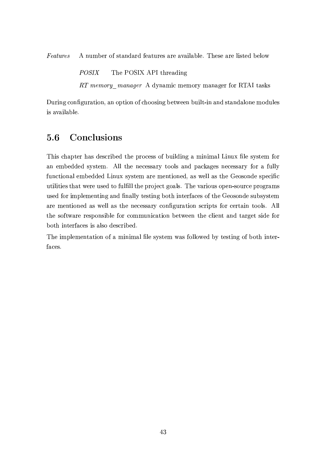$Features$  $\mathcal{M}=\mathcal{M}=\mathcal{M}=\mathcal{M}=\mathcal{M}=\mathcal{M}=\mathcal{M}=\mathcal{M}=\mathcal{M}=\mathcal{M}=\mathcal{M}=\mathcal{M}=\mathcal{M}=\mathcal{M}=\mathcal{M}=\mathcal{M}=\mathcal{M}=\mathcal{M}=\mathcal{M}=\mathcal{M}=\mathcal{M}=\mathcal{M}=\mathcal{M}=\mathcal{M}=\mathcal{M}=\mathcal{M}=\mathcal{M}=\mathcal{M}=\mathcal{M}=\mathcal{M}=\mathcal{M}=\mathcal{M}=\mathcal{M}=\mathcal{M}=\mathcal{M}=\mathcal{M}=\mathcal{$ 

> $-$ %'&-2 U#§Hh- 1UWh 03&1482 ,a6-@-A

RT memory manager A dynamic memory manager for RTAI tasks

During configuration, an option of choosing between built-in and standalone modules is available.

## 5.6 Conclusions

This chapter has described the process of building a minimal Linux file system for an embedded system. All the necessary tools and packages necessary for a fully functional embedded Linux system are mentioned, as well as the Geosonde specific utilities that were used to fulfill the project goals. The various open-source programs used for implementing and finally testing both interfaces of the Geosonde subsystem are mentioned as well as the necessary configuration scripts for certain tools. All the software responsible for communication between the client and target side for both interfaces is also described.

The implementation of a minimal file system was followed by testing of both interfaces.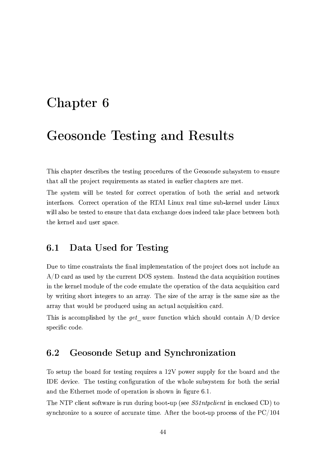# -

## " - #

This chapter describes the testing procedures of the Geosonde subsystem to ensure that all the project requirements as stated in earlier chapters are met.

The system will be tested for correct operation of both the serial and network @082R4M=,\* 2(RV\*-<\_4Q482\*0i<\_.n2R43,[03:<@ </= 08&-2 "%bhbD@F>HG 4Q2 ,? 08:B2 (8>19H` fa2R4@2 ? >-@6-254 <sup>D</sup>@F>HG will also be tested to ensure that data exchange does indeed take place between both the kernel and user space.

## 6.1 Data Used for Testing

Due to time constraints the final implementation of the project does not include an  $A/D$  card as used by the current DOS system. Instead the data acquisition routines in the kernel module of the code emulate the operation of the data acquisition card by writing short integers to an array. The size of the array is the same size as the array that would be produced using an actual acquisition card.

This is accomplished by the  $get\_wave$  function which should contain  $A/D$  device specific code.

## ;t + 7|{ ~w i|{ oC|W+|y'k~y+|

To setup the board for testing requires a 12V power supply for the board and the  $\overline{IDE}$  device. The testing configuration of the whole subsystem for both the serial and the Ethernet mode of operation is shown in figure 6.1.

%'&-2 <sup>X</sup>%Ul\*5? )2@0 (</=0^,/4Q2b ( 4>-@ 6>48@-A+9 <N</0 `>.`p ( 252 ,&
¨K«b \*&
E@ 2@-\*R?<( <sup>256</sup> -¥qE03< (MLH@1\*&-48<@ <sup>m</sup> 2i03<;, (<>4\* 27<a=W,\*5\*R>48,a032r03)B;2 <sup>V</sup> =032R4T03&12 <sup>9</sup> <H<a0 `j>..148< \* <sup>2</sup> (Q( </= 03&-2 U- \ ©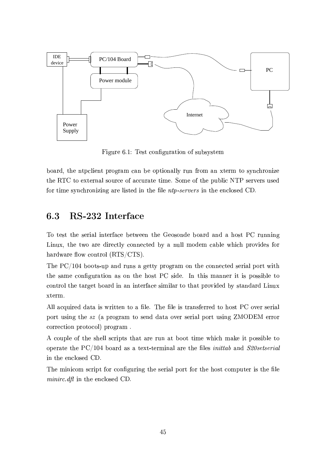

Figure 6.1: Test configuration of subsystem

board, the ntpclient program can be optionally run from an xterm to synchronize 08&-2"%- 08<o2G03254@,?(<>4\*2r</=E,\*R\*R>43,a082r08:B2 <sup>V</sup> § <\_B;2k<a= 08&-2r.>-9-? \*¤X%U( 254Qc\_254 (Y>-( <sup>256</sup> =P<\_408:B2 (QLN@-\*&148<@m @-A ,a482 ? ( 082R6@ 03&12 I-? <sup>2</sup> &
¨ ( - \*© \* ©-i@ 03&-2r2@1\*R?<( 2R6 -¥7V

### $6.3$  -/-p|~a

%< <sup>082</sup> (0C03&12 (2R48:,? @082R4Q=,\* <sup>2</sup> <sup>9</sup> 2X0^252@ 08&-2 92R<(<@6-2 <sup>9</sup> <q,/486,@6, &1<( <sup>0</sup> U- 4>-@1@@-A Linux, the two are directly connected by a null modem cable which provides for  $\overline{a}$  , a set of  $\overline{a}$  ,  $\overline{b}$  ,  $\overline{c}$  ,  $\overline{c}$  ,  $\overline{c}$  ,  $\overline{c}$  ,  $\overline{c}$  ,  $\overline{c}$  ,  $\overline{c}$  ,  $\overline{c}$  ,  $\overline{c}$  ,  $\overline{c}$  ,  $\overline{c}$  ,  $\overline{c}$  ,  $\overline{c}$  ,  $\overline{c}$  ,  $\overline{c}$  ,  $\overline{c}$  ,  $\over$ 

%'&-2 U- \ © <sup>9</sup> <N</0 (`j>. ,@6 4>-@-( , <sup>A</sup>250Q0L .-48<A43,/B<@ 03&-2 \*<@-@2 \*082R6 (2R48:,? .p</4Q0 ^)03&  $0.82\times10^{-4}$  and  $1.4\times10^{-4}$  and  $1.4\times10^{-4}$  (  $1.4\times10^{-4}$  )  $1.4\times10^{-4}$  (  $1.4\times10^{-4}$  )  $1.4\times10^{-4}$ control the target board in an interface similar to that provided by standard Linux xterm.

Y?:? ,\*]>)48256e6K,a0,; (Y^4Q)0Q032@ 03<, I-? <sup>2</sup> <sup>V</sup> %'&-2 IK?27 ( 0348,@-(=P2R484Q2R608<&-<(0 U- <c/2R4 (2R48:,? . and the contract of the contract of the contract of the contract of the contract of the contract of the contract of the contract of the contract of the contract of the contract of the contract of the contract of the con correction protocol) program.

A couple of the shell scripts that are run at boot time which make it possible to <\_.n2R48,a032d08&-2 U- \ © <sup>9</sup> <q,/486 ,( ,032G0 ` 082R4QB;@,? ,a482d03&12 I-? <sup>2</sup> ( & L
C,@6 -- \* - \* ©bLk @ 03&-2r2@1\*R?<( 2R6 -¥7V

The minicom script for configuring the serial port for the host computer is the file &©3« @ 03&-2r2@1\*R?<( 2R6 -¥7V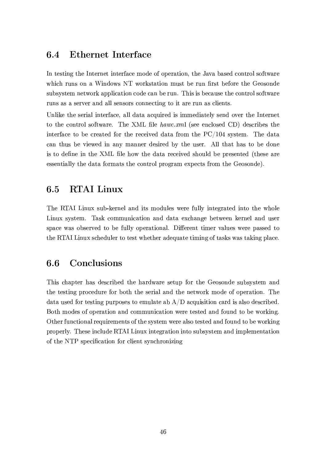## 6.4 Ethernet Interface

In testing the Internet interface mode of operation, the Java based control software which runs on a Windows NT workstation must be run first before the Geosonde subsystem network application code can be run. This is because the control software runs as a server and all sensors connecting to it are run as clients.

Unlike the serial interface, all data acquired is immediately send over the Internet 08< 03&-2 \*<@034Q<?(</=0^,a482 <sup>V</sup> %'&-2 -D IK? <sup>2</sup> 1"« 0? <sup>p</sup> (2R22@1\*R?<( 2R6 -¥q7612 (8\*489 2( 03&-2  $\overline{\phantom{a}}$  ,  $\overline{\phantom{a}}$  ,  $\overline{\phantom{a}}$  ,  $\overline{\phantom{a}}$  ,  $\overline{\phantom{a}}$  ,  $\overline{\phantom{a}}$  ,  $\overline{\phantom{a}}$  ,  $\overline{\phantom{a}}$  ,  $\overline{\phantom{a}}$  ,  $\overline{\phantom{a}}$  ,  $\overline{\phantom{a}}$  ,  $\overline{\phantom{a}}$  ,  $\overline{\phantom{a}}$  ,  $\overline{\phantom{a}}$  ,  $\overline{\phantom{a}}$  ,  $\overline{\phantom{a}}$ can thus be viewed in any manner desired by the user. All that has to be done  $\blacksquare$ essentially the data formats the control program expects from the Geosonde).

## ;t3s -\$yR|wC

The RTAI Linux sub-kernel and its modules were fully integrated into the whole Linux system. Task communication and data exchange between kernel and user space was observed to be fully operational. Different timer values were passed to the RTAI Linux scheduler to test whether adequate timing of tasks was taking place.

## 6.6 Conclusions

This chapter has described the hardware setup for the Geosonde subsystem and the testing procedure for both the serial and the network mode of operation. The data used for testing purposes to emulate ab  $A/D$  acquisition card is also described. Both modes of operation and communication were tested and found to be working. Other functional requirements of the system were also tested and found to be working properly. These include RTAI Linux integration into subsystem and implementation of the NTP specification for client synchronizing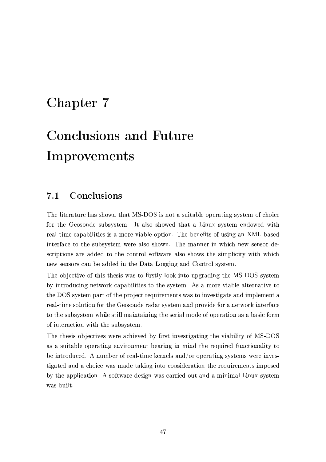# experimental contracts and contracts are a contracted and contract of the contract of the contract of the contract of the contract of the contract of the contract of the contract of the contract of the contract of the cont

# $\blacksquare$  . The set of the set of the set of the set of the set of the set of the set of the set of the set of the set of the set of the set of the set of the set of the set of the set of the set of the set of the set of the . A strong the contract of the contract of the contract of the contract of the contract of the contract of the

## $t = 1, 2, \ldots, N$

The literature has shown that MS-DOS is not a suitable operating system of choice for the Geosonde subsystem. It also showed that a Linux system endowed with 4Q2 ,?` 03)B;2 \* ,/.-,9 ? )08:2 ( ( ,;B<\_482\cN:,9-? 2r<\_.H03:<@ V %'&12 <sup>9</sup> 2@2I0 ( </= >1( @1A ,@ -Dl9,( <sup>256</sup> interface to the subsystem were also shown. The manner in which new sensor descriptions are added to the control software also shows the simplicity with which  $Q_2$  , and  $Q_3$  is the contract of  $Q_2$  and  $Q_3$   $\in$   $Q_4$   $\in$   $Q_4$  ,  $Q_5$   $\in$   $Q_6$   $\in$   $Q_7$   $\in$   $Q_8$   $\in$   $Q_7$   $\in$   $Q_8$   $\in$   $Q_9$   $\in$   $Q_7$   $\in$   $Q_8$   $\in$   $Q_9$   $\in$   $Q_7$   $\in$   $Q_8$   $\in$   $Q_9$   $\in$ 

The objective of this thesis was to firstly look into upgrading the MS-DOS system by introducing network capabilities to the system. As a more viable alternative to the DOS system part of the project requirements was to investigate and implement a real-time solution for the Geosonde radar system and provide for a network interface to the subsystem while still maintaining the serial mode of operation as a basic form of interaction with the subsystem.

The thesis objectives were achieved by first investigating the viability of MS-DOS as a suitable operating environment bearing in mind the required functionality to be introduced. A number of real-time kernels and/or operating systems were investigated and a choice was made taking into consideration the requirements imposed by the application. A software design was carried out and a minimal Linux system was built.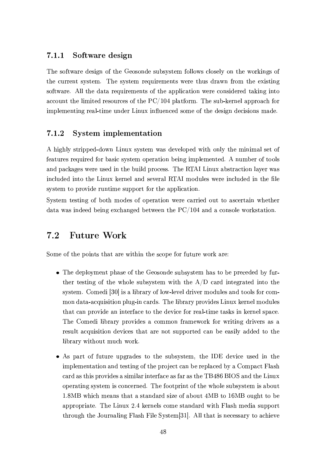## $-$  5  $\sim$  7.

The software design of the Geosonde subsystem follows closely on the workings of the current system. The system requirements were thus drawn from the existing software. All the data requirements of the application were considered taking into , and the state of the state  $\theta$  . The state  $\theta$  and  $\theta$  and  $\theta$  and  $\theta$  and  $\theta$  and  $\theta$  and  $\theta$ implementing real-time under Linux influenced some of the design decisions made.

## 7.1.2 System implementation

A highly stripped-down Linux system was developed with only the minimal set of features required for basic system operation being implemented. A number of tools and packages were used in the build process. The RTAI Linux abstraction layer was included into the Linux kernel and several RTAI modules were included in the file system to provide runtime support for the application.

System testing of both modes of operation were carried out to ascertain whether  $\mathcal{A} \subset \mathcal{A}$  . A 2GH  $\mathcal{A} \subset \mathcal{A}$  is a contract of the set of the set of the set of the set of the set of the set of the set of the set of the set of the set of the set of the set of the set of the set of the set

## t was a series of the series of the series of the series of the series of the series of the series of the series

Some of the points that are within the scope for future work are:

- The deployment phase of the Geosonde subsystem has to be preceded by further testing of the whole subsystem with the  $A/D$  card integrated into the  $\mathcal{L} = \{ \mathcal{L} = \{ \mathcal{L} = \mathcal{L} \}$ mon data-acquisition plug-in cards. The library provides Linux kernel modules that can provide an interface to the device for real-time tasks in kernel space. %'&12 -</B;256- ? 943,/4L .-4Q<cH)6-2 ( , \*<\_BB<@ =P43,/B2^<\_48f=P<\_4 ^4803@1A 6-48c\_2R4( ,( , result acquisition devices that are not supported can be easily added to the library without much work.
- As part of future upgrades to the subsystem, the IDE device used in the  $\blacksquare$ card as this provides a similar interface as far as the TB486 BIOS and the Linux operating system is concerned. The footprint of the whole subsystem is about  $\sim$  . And the set of the set of the set of the set of the set of the set of the set of the set of the set of the set of the set of the set of the set of the set of the set of the set of the set of the set of the set of t ,a.e.-48:,a.o.a.032 U  $\sim$  . The contract of the following the contract of the contract of the contract of the contract of the contract of the contract of the contract of the contract of the contract of the contract of th through the Journaling Flash File System [31]. All that is necessary to achieve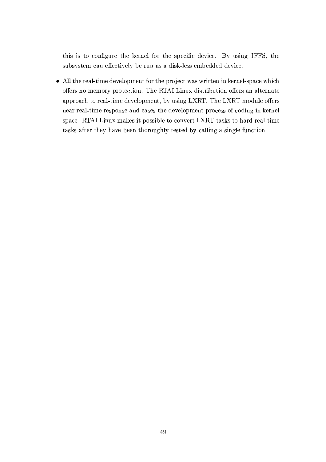this is to configure the kernel for the specific device. By using JFFS, the subsystem can effectively be run as a disk-less embedded device.

• All the real-time development for the project was written in kernel-space which offers no memory protection. The RTAI Linux distribution offers an alternate , a.e.  $\sim$  1 in the contract of  $\sim$  200 in the contract of  $\sim$  03 in the contract of  $\sim$  03 near real-time response and eases the development process of coding in kernel (.K,\*2 <sup>V</sup> "%bhWD@N>NG B;,/fa2 ()0 .p<(8( 9-? 2T03< \*<@c/2R4Q0 D-"%03,(f( 08<7&K,a486C4Q2 ,?` 08:B2 tasks after they have been thoroughly tested by calling a single function.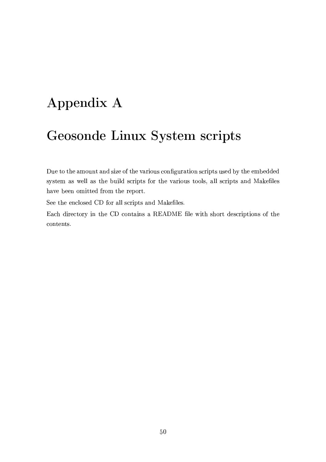# "-

# $\blacksquare$  . The set of  $\blacksquare$  . The set of  $\blacksquare$  . The set of  $\blacksquare$  . The set of  $\blacksquare$

Due to the amount and size of the various configuration scripts used by the embedded system as well as the build scripts for the various tools, all scripts and Makefiles have been omitted from the report.

§ 252k03&-2r2@1\*R?<( 2R6 -¥ =P</4T,?:?p(8\* 4Q:.10 ( ,@6 ,/f/2IK? 2(RV

£,\*&6-:4Q2 \*08<\_4L @ 03&-2 -¥S\*<@0,/@-( ,"£b¥£ IK?<sup>2</sup> ^03& (&-</4Q0i6-2 (Q\* 4Q:.108:<@-( </= 03&-2 contents.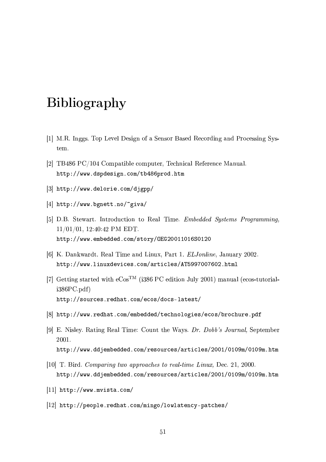# **Bibliography**

- [1] M.R. Inggs. Top Level Design of a Sensor Based Recording and Processing System.
- [2] TB486 PC/104 Compatible computer, Technical Reference Manual. http://www.dspdesign.com/tb486prod.htm
- [3] http://www.delorie.com/djgpp/
- [4] http://www.bgnett.no/~giva/
- [5] D.B. Stewart. Introduction to Real Time. *Embedded Systems Programming*,  $11/01/01$ , 12:40:42 PM EDT. http://www.embedded.com/story/0EG20011016S0120
- [6] K. Dankwardt. Real Time and Linux, Part 1. *ELJonline*, January 2002. http://www.linuxdevices.com/articles/AT5997007602.html
- [7] Getting started with  $e\text{Cos}^{TM}$  (i386 PC edition July 2001) manual (ecos-tutorial $i386PC.pdf$ http://sources.redhat.com/ecos/docs-latest/
- [8] http://www.redhat.com/embedded/technologies/ecos/brochure.pdf
- [9] E. Nisley. Rating Real Time: Count the Ways. Dr. Dobb's Journal, September 2001. http://www.ddjembedded.com/resources/articles/2001/0109m/0109m.htm
- [10] T. Bird. Comparing two approaches to real-time Linux, Dec. 21, 2000. http://www.ddjembedded.com/resources/articles/2001/0109m/0109m.htm
- $[11]$  http://www.mvista.com/
- [12] http://people.redhat.com/mingo/lowlatency-patches/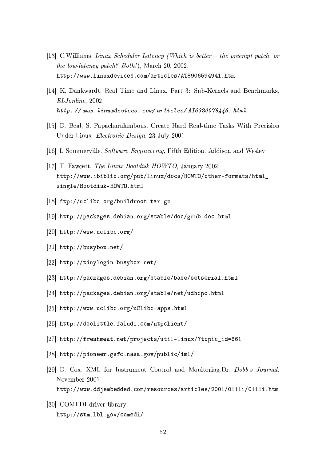- [13] C.Williams. Linux Scheduler Latency (Which is better the preempt patch, or *the low-latency patch? Both!*), March 20, 2002. http://www.linuxdevices.com/articles/AT8906594941.htm
- [14] K. Dankwardt. Real Time and Linux, Part 3: Sub-Kernels and Benchmarks. ELJonline, 2002. http://www.linuxdevices.com/articles/AT6320079446.html
- [15] D. Beal, S. Papacharalambous. Create Hard Real-time Tasks With Precision Under Linux. Electronic Design, 23 July 2001.
- [16] I. Sommerville. Software Engineering, Fifth Edition. Addison and Wesley
- [17] T. Fawcett. The Linux Bootdisk HOWTO, January 2002 http://www.ibiblio.org/pub/Linux/docs/HOWTO/other-formats/html\_ single/Bootdisk-HOWTO.html
- [18] ftp://uclibc.org/buildroot.tar.gz
- |19| http://packages.debian.org/stable/doc/grub-doc.html
- [20]  $http://www.uclibc.org/$
- [21]  $http://busybox.net/$
- [22] http://tinylogin.busybox.net/
- [23] http://packages.debian.org/stable/base/setserial.html
- [24] http://packages.debian.org/stable/net/udhcpc.html
- [25] http://www.uclibc.org/uClibc-apps.html
- [26] http://doolittle.faludi.com/ntpclient/
- [27] http://freshmeat.net/projects/util-linux/?topic\_id=861
- [28] http://pioneer.gsfc.nasa.gov/public/iml/
- [29] D. Cox. XML for Instrument Control and Monitoring.Dr. Dobb's Journal, November 2001.
	- http://www.ddjembedded.com/resources/articles/2001/0111i/0111i.htm
- [30] COMEDI driver library: http://stm.1bl.gov/comedi/